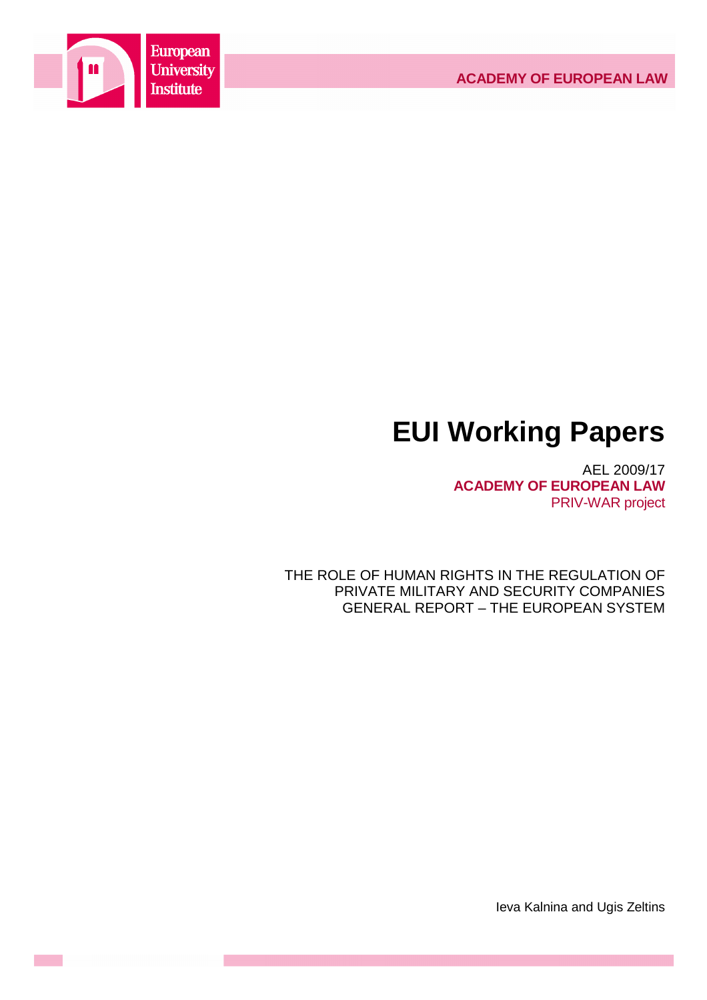

# **EUI Working Papers**

AEL 2009/17 **ACADEMY OF EUROPEAN LAW** PRIV-WAR project

THE ROLE OF HUMAN RIGHTS IN THE REGULATION OF PRIVATE MILITARY AND SECURITY COMPANIES GENERAL REPORT – THE EUROPEAN SYSTEM

Ieva Kalnina and Ugis Zeltins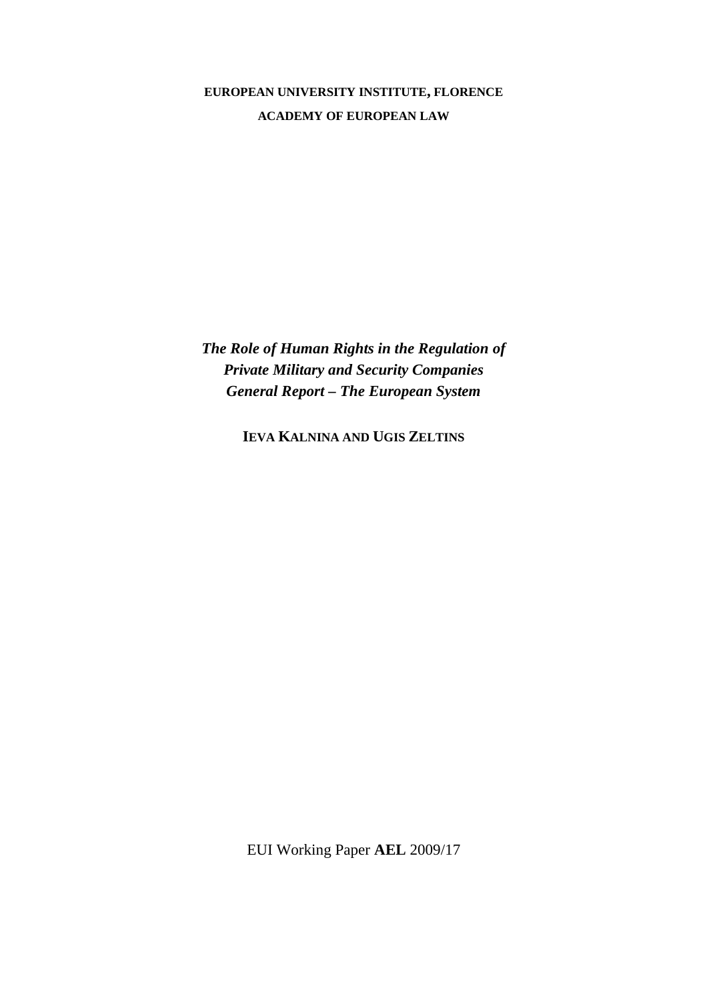# **EUROPEAN UNIVERSITY INSTITUTE, FLORENCE ACADEMY OF EUROPEAN LAW**

*The Role of Human Rights in the Regulation of Private Military and Security Companies General Report – The European System* 

**IEVA KALNINA AND UGIS ZELTINS**

EUI Working Paper **AEL** 2009/17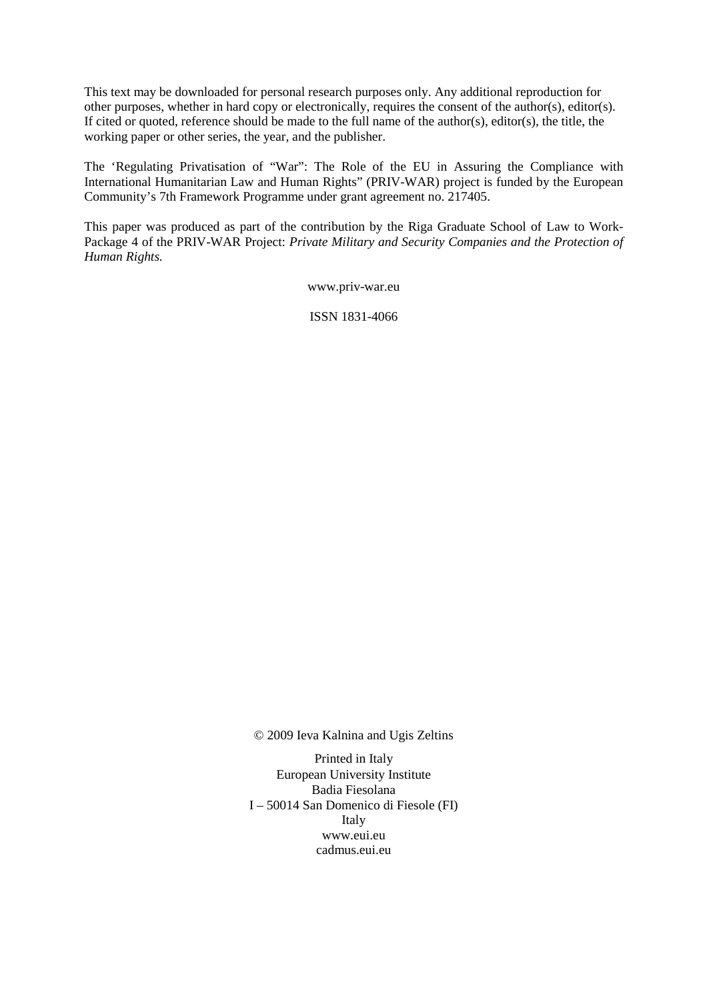This text may be downloaded for personal research purposes only. Any additional reproduction for other purposes, whether in hard copy or electronically, requires the consent of the author(s), editor(s). If cited or quoted, reference should be made to the full name of the author(s), editor(s), the title, the working paper or other series, the year, and the publisher.

The 'Regulating Privatisation of "War": The Role of the EU in Assuring the Compliance with International Humanitarian Law and Human Rights" (PRIV-WAR) project is funded by the European Community's 7th Framework Programme under grant agreement no. 217405.

This paper was produced as part of the contribution by the Riga Graduate School of Law to Work-Package 4 of the PRIV-WAR Project: *Private Military and Security Companies and the Protection of Human Rights.* 

www.priv-war.eu

ISSN 1831-4066

© 2009 Ieva Kalnina and Ugis Zeltins

Printed in Italy European University Institute Badia Fiesolana I – 50014 San Domenico di Fiesole (FI) Italy www.eui.eu cadmus.eui.eu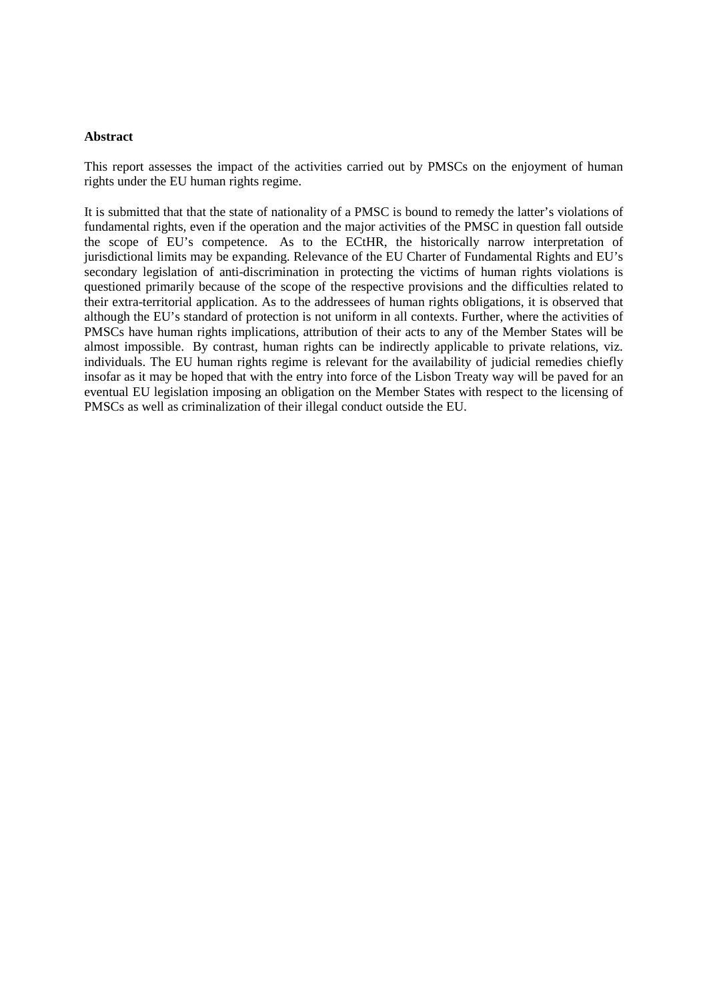# **Abstract**

This report assesses the impact of the activities carried out by PMSCs on the enjoyment of human rights under the EU human rights regime.

It is submitted that that the state of nationality of a PMSC is bound to remedy the latter's violations of fundamental rights, even if the operation and the major activities of the PMSC in question fall outside the scope of EU's competence. As to the ECtHR, the historically narrow interpretation of jurisdictional limits may be expanding. Relevance of the EU Charter of Fundamental Rights and EU's secondary legislation of anti-discrimination in protecting the victims of human rights violations is questioned primarily because of the scope of the respective provisions and the difficulties related to their extra-territorial application. As to the addressees of human rights obligations, it is observed that although the EU's standard of protection is not uniform in all contexts. Further, where the activities of PMSCs have human rights implications, attribution of their acts to any of the Member States will be almost impossible. By contrast, human rights can be indirectly applicable to private relations, viz. individuals. The EU human rights regime is relevant for the availability of judicial remedies chiefly insofar as it may be hoped that with the entry into force of the Lisbon Treaty way will be paved for an eventual EU legislation imposing an obligation on the Member States with respect to the licensing of PMSCs as well as criminalization of their illegal conduct outside the EU.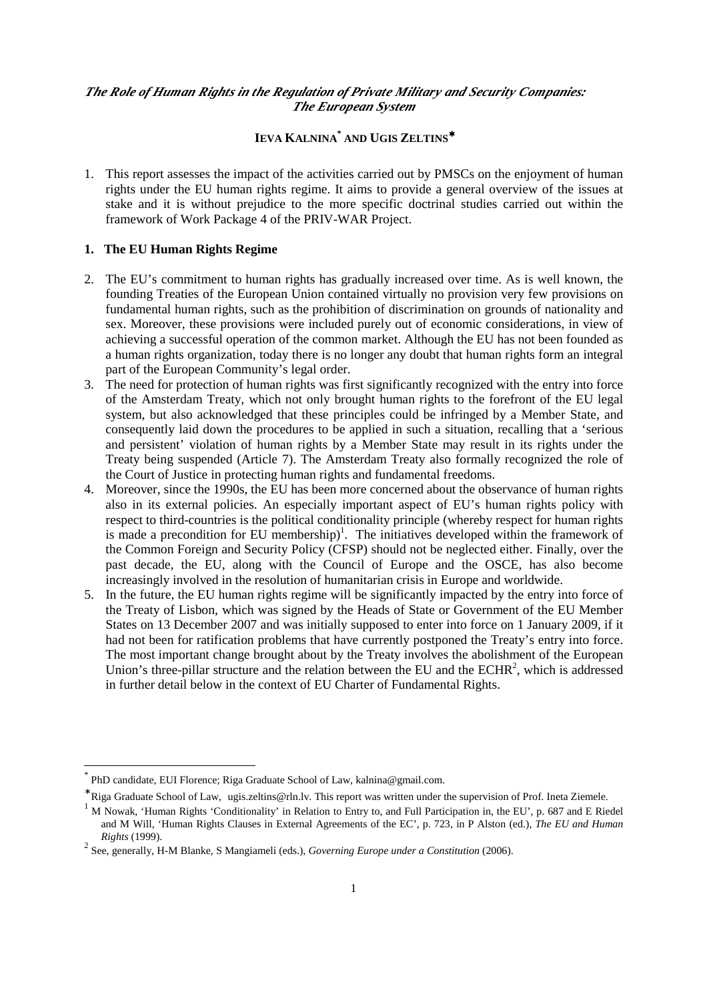# *The Role of Human Rights in the Regulation of Private Military and Security Companies: The European System*

# **IEVA KALNINA\* AND UGIS ZELTINS**<sup>∗</sup>

1. This report assesses the impact of the activities carried out by PMSCs on the enjoyment of human rights under the EU human rights regime. It aims to provide a general overview of the issues at stake and it is without prejudice to the more specific doctrinal studies carried out within the framework of Work Package 4 of the PRIV-WAR Project.

# **1. The EU Human Rights Regime**

- 2. The EU's commitment to human rights has gradually increased over time. As is well known, the founding Treaties of the European Union contained virtually no provision very few provisions on fundamental human rights, such as the prohibition of discrimination on grounds of nationality and sex. Moreover, these provisions were included purely out of economic considerations, in view of achieving a successful operation of the common market. Although the EU has not been founded as a human rights organization, today there is no longer any doubt that human rights form an integral part of the European Community's legal order.
- 3. The need for protection of human rights was first significantly recognized with the entry into force of the Amsterdam Treaty, which not only brought human rights to the forefront of the EU legal system, but also acknowledged that these principles could be infringed by a Member State, and consequently laid down the procedures to be applied in such a situation, recalling that a 'serious and persistent' violation of human rights by a Member State may result in its rights under the Treaty being suspended (Article 7). The Amsterdam Treaty also formally recognized the role of the Court of Justice in protecting human rights and fundamental freedoms.
- 4. Moreover, since the 1990s, the EU has been more concerned about the observance of human rights also in its external policies. An especially important aspect of EU's human rights policy with respect to third-countries is the political conditionality principle (whereby respect for human rights is made a precondition for EU membership)<sup>1</sup>. The initiatives developed within the framework of the Common Foreign and Security Policy (CFSP) should not be neglected either. Finally, over the past decade, the EU, along with the Council of Europe and the OSCE, has also become increasingly involved in the resolution of humanitarian crisis in Europe and worldwide.
- 5. In the future, the EU human rights regime will be significantly impacted by the entry into force of the Treaty of Lisbon, which was signed by the Heads of State or Government of the EU Member States on 13 December 2007 and was initially supposed to enter into force on 1 January 2009, if it had not been for ratification problems that have currently postponed the Treaty's entry into force. The most important change brought about by the Treaty involves the abolishment of the European Union's three-pillar structure and the relation between the EU and the  $ECHR<sup>2</sup>$ , which is addressed in further detail below in the context of EU Charter of Fundamental Rights.

<sup>\*</sup> PhD candidate, EUI Florence; Riga Graduate School of Law, kalnina@gmail.com.

<sup>∗</sup> Riga Graduate School of Law, ugis.zeltins@rln.lv. This report was written under the supervision of Prof. Ineta Ziemele.

<sup>&</sup>lt;sup>1</sup> M Nowak, 'Human Rights 'Conditionality' in Relation to Entry to, and Full Participation in, the EU', p. 687 and E Riedel and M Will, 'Human Rights Clauses in External Agreements of the EC', p. 723, in P Alston (ed.), *The EU and Human Rights* (1999).

<sup>2</sup> See, generally, H-M Blanke, S Mangiameli (eds.), *Governing Europe under a Constitution* (2006).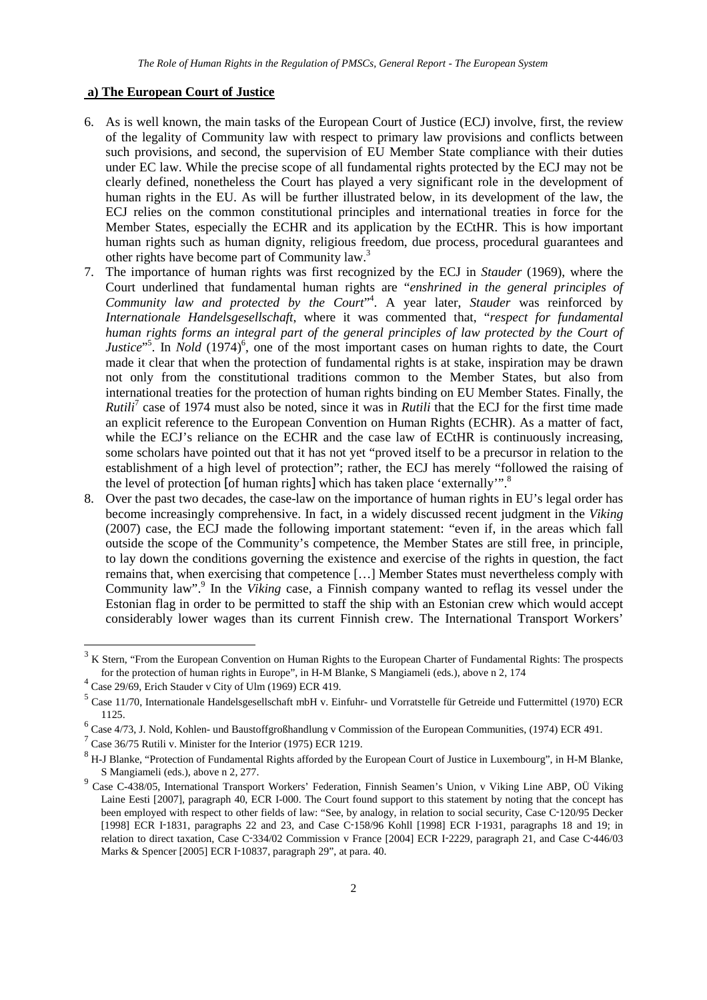#### **a) The European Court of Justice**

- 6. As is well known, the main tasks of the European Court of Justice (ECJ) involve, first, the review of the legality of Community law with respect to primary law provisions and conflicts between such provisions, and second, the supervision of EU Member State compliance with their duties under EC law. While the precise scope of all fundamental rights protected by the ECJ may not be clearly defined, nonetheless the Court has played a very significant role in the development of human rights in the EU. As will be further illustrated below, in its development of the law, the ECJ relies on the common constitutional principles and international treaties in force for the Member States, especially the ECHR and its application by the ECtHR. This is how important human rights such as human dignity, religious freedom, due process, procedural guarantees and other rights have become part of Community law.<sup>3</sup>
- 7. The importance of human rights was first recognized by the ECJ in *Stauder* (1969), where the Court underlined that fundamental human rights are "*enshrined in the general principles of*  Community law and protected by the Court<sup>y4</sup>. A year later, *Stauder* was reinforced by *Internationale Handelsgesellschaft*, where it was commented that, "*respect for fundamental human rights forms an integral part of the general principles of law protected by the Court of Justice*<sup>5</sup>. In *Nold* (1974)<sup>6</sup>, one of the most important cases on human rights to date, the Court made it clear that when the protection of fundamental rights is at stake, inspiration may be drawn not only from the constitutional traditions common to the Member States, but also from international treaties for the protection of human rights binding on EU Member States. Finally, the *Rutili*<sup>7</sup> case of 1974 must also be noted, since it was in *Rutili* that the ECJ for the first time made an explicit reference to the European Convention on Human Rights (ECHR). As a matter of fact, while the ECJ's reliance on the ECHR and the case law of ECtHR is continuously increasing, some scholars have pointed out that it has not yet "proved itself to be a precursor in relation to the establishment of a high level of protection"; rather, the ECJ has merely "followed the raising of the level of protection [of human rights] which has taken place 'externally'".<sup>8</sup>
- 8. Over the past two decades, the case-law on the importance of human rights in EU's legal order has become increasingly comprehensive. In fact, in a widely discussed recent judgment in the *Viking* (2007) case, the ECJ made the following important statement: "even if, in the areas which fall outside the scope of the Community's competence, the Member States are still free, in principle, to lay down the conditions governing the existence and exercise of the rights in question, the fact remains that, when exercising that competence […] Member States must nevertheless comply with Community law".<sup>9</sup> In the *Viking* case, a Finnish company wanted to reflag its vessel under the Estonian flag in order to be permitted to staff the ship with an Estonian crew which would accept considerably lower wages than its current Finnish crew. The International Transport Workers'

<sup>&</sup>lt;sup>3</sup> K Stern, "From the European Convention on Human Rights to the European Charter of Fundamental Rights: The prospects for the protection of human rights in Europe", in H-M Blanke, S Mangiameli (eds.), above n 2, 174

<sup>4</sup> Case 29/69, Erich Stauder v City of Ulm (1969) ECR 419.

<sup>&</sup>lt;sup>5</sup> Case 11/70, Internationale Handelsgesellschaft mbH v. Einfuhr- und Vorratstelle für Getreide und Futtermittel (1970) ECR 1125.

 $6$  Case 4/73, J. Nold, Kohlen- und Baustoffgroßhandlung v Commission of the European Communities, (1974) ECR 491.

 $<sup>7</sup>$  Case 36/75 Rutili v. Minister for the Interior (1975) ECR 1219.</sup>

 $^8$  H-J Blanke, "Protection of Fundamental Rights afforded by the European Court of Justice in Luxembourg", in H-M Blanke, S Mangiameli (eds.), above n 2, 277.

<sup>&</sup>lt;sup>9</sup> Case C-438/05, International Transport Workers' Federation, Finnish Seamen's Union, v Viking Line ABP, OÜ Viking Laine Eesti [2007], paragraph 40, ECR I-000. The Court found support to this statement by noting that the concept has been employed with respect to other fields of law: "See, by analogy, in relation to social security, Case C-120/95 Decker [1998] ECR I-1831, paragraphs 22 and 23, and Case C-158/96 Kohll [1998] ECR I-1931, paragraphs 18 and 19; in relation to direct taxation, Case C‑334/02 Commission v France [2004] ECR I‑2229, paragraph 21, and Case C‑446/03 Marks & Spencer [2005] ECR I‑10837, paragraph 29", at para. 40.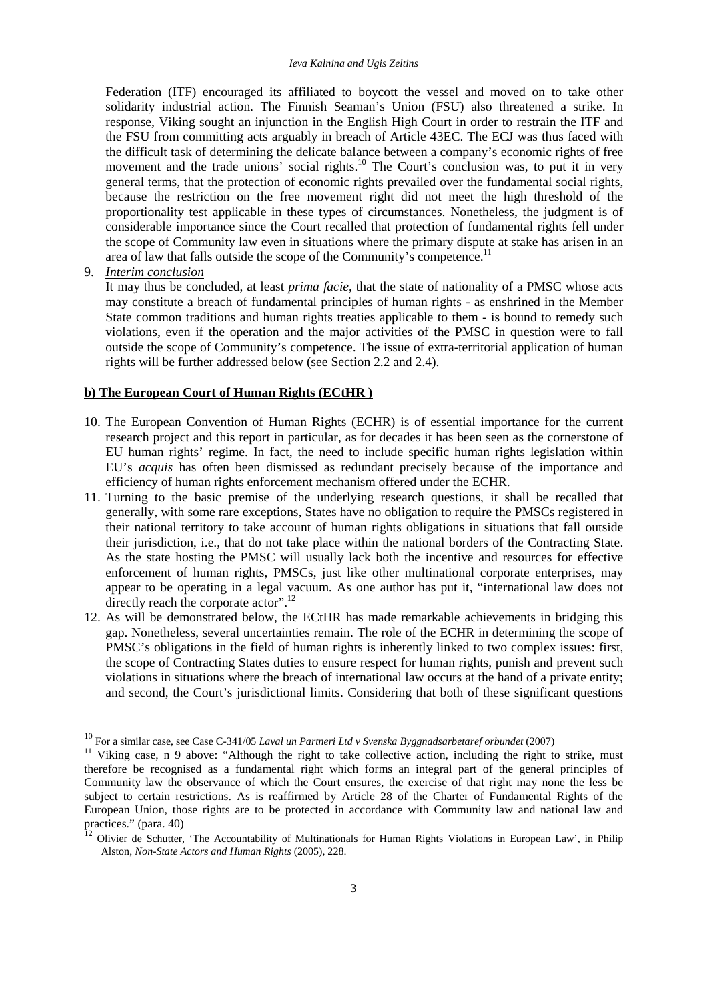Federation (ITF) encouraged its affiliated to boycott the vessel and moved on to take other solidarity industrial action. The Finnish Seaman's Union (FSU) also threatened a strike. In response, Viking sought an injunction in the English High Court in order to restrain the ITF and the FSU from committing acts arguably in breach of Article 43EC. The ECJ was thus faced with the difficult task of determining the delicate balance between a company's economic rights of free movement and the trade unions' social rights.<sup>10</sup> The Court's conclusion was, to put it in very general terms, that the protection of economic rights prevailed over the fundamental social rights, because the restriction on the free movement right did not meet the high threshold of the proportionality test applicable in these types of circumstances. Nonetheless, the judgment is of considerable importance since the Court recalled that protection of fundamental rights fell under the scope of Community law even in situations where the primary dispute at stake has arisen in an area of law that falls outside the scope of the Community's competence.<sup>11</sup>

9. *Interim conclusion*

 $\overline{a}$ 

It may thus be concluded, at least *prima facie*, that the state of nationality of a PMSC whose acts may constitute a breach of fundamental principles of human rights - as enshrined in the Member State common traditions and human rights treaties applicable to them - is bound to remedy such violations, even if the operation and the major activities of the PMSC in question were to fall outside the scope of Community's competence. The issue of extra-territorial application of human rights will be further addressed below (see Section 2.2 and 2.4).

#### **b) The European Court of Human Rights (ECtHR )**

- 10. The European Convention of Human Rights (ECHR) is of essential importance for the current research project and this report in particular, as for decades it has been seen as the cornerstone of EU human rights' regime. In fact, the need to include specific human rights legislation within EU's *acquis* has often been dismissed as redundant precisely because of the importance and efficiency of human rights enforcement mechanism offered under the ECHR.
- 11. Turning to the basic premise of the underlying research questions, it shall be recalled that generally, with some rare exceptions, States have no obligation to require the PMSCs registered in their national territory to take account of human rights obligations in situations that fall outside their jurisdiction, i.e., that do not take place within the national borders of the Contracting State. As the state hosting the PMSC will usually lack both the incentive and resources for effective enforcement of human rights, PMSCs, just like other multinational corporate enterprises, may appear to be operating in a legal vacuum. As one author has put it, "international law does not directly reach the corporate actor".<sup>12</sup>
- 12. As will be demonstrated below, the ECtHR has made remarkable achievements in bridging this gap. Nonetheless, several uncertainties remain. The role of the ECHR in determining the scope of PMSC's obligations in the field of human rights is inherently linked to two complex issues: first, the scope of Contracting States duties to ensure respect for human rights, punish and prevent such violations in situations where the breach of international law occurs at the hand of a private entity; and second, the Court's jurisdictional limits. Considering that both of these significant questions

<sup>10</sup> For a similar case, see Case C-341/05 *Laval un Partneri Ltd v Svenska Byggnadsarbetaref orbundet* (2007)

<sup>&</sup>lt;sup>11</sup> Viking case, n 9 above: "Although the right to take collective action, including the right to strike, must therefore be recognised as a fundamental right which forms an integral part of the general principles of Community law the observance of which the Court ensures, the exercise of that right may none the less be subject to certain restrictions. As is reaffirmed by Article 28 of the Charter of Fundamental Rights of the European Union, those rights are to be protected in accordance with Community law and national law and practices." (para. 40)

<sup>&</sup>lt;sup>12</sup> Olivier de Schutter, 'The Accountability of Multinationals for Human Rights Violations in European Law', in Philip Alston, *Non-State Actors and Human Rights* (2005), 228.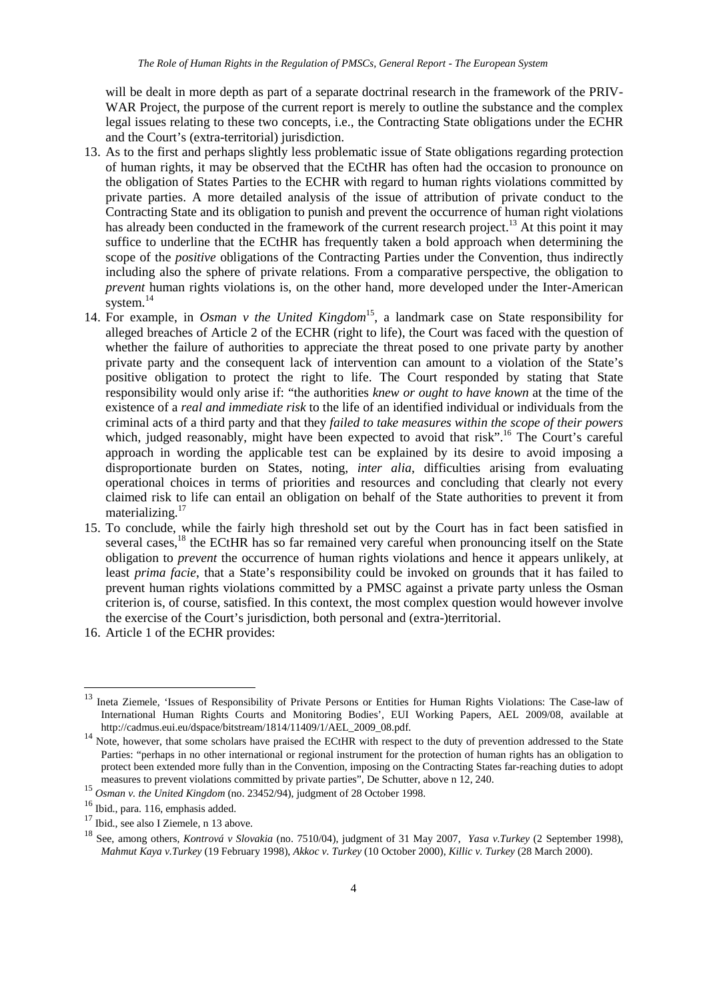will be dealt in more depth as part of a separate doctrinal research in the framework of the PRIV-WAR Project, the purpose of the current report is merely to outline the substance and the complex legal issues relating to these two concepts, i.e., the Contracting State obligations under the ECHR and the Court's (extra-territorial) jurisdiction.

- 13. As to the first and perhaps slightly less problematic issue of State obligations regarding protection of human rights, it may be observed that the ECtHR has often had the occasion to pronounce on the obligation of States Parties to the ECHR with regard to human rights violations committed by private parties. A more detailed analysis of the issue of attribution of private conduct to the Contracting State and its obligation to punish and prevent the occurrence of human right violations has already been conducted in the framework of the current research project.<sup>13</sup> At this point it may suffice to underline that the ECtHR has frequently taken a bold approach when determining the scope of the *positive* obligations of the Contracting Parties under the Convention, thus indirectly including also the sphere of private relations. From a comparative perspective, the obligation to *prevent* human rights violations is, on the other hand, more developed under the Inter-American system. $^{14}$
- 14. For example, in *Osman v the United Kingdom*<sup>15</sup>, a landmark case on State responsibility for alleged breaches of Article 2 of the ECHR (right to life), the Court was faced with the question of whether the failure of authorities to appreciate the threat posed to one private party by another private party and the consequent lack of intervention can amount to a violation of the State's positive obligation to protect the right to life. The Court responded by stating that State responsibility would only arise if: "the authorities *knew or ought to have known* at the time of the existence of a *real and immediate risk* to the life of an identified individual or individuals from the criminal acts of a third party and that they *failed to take measures within the scope of their powers* which, judged reasonably, might have been expected to avoid that risk".<sup>16</sup> The Court's careful approach in wording the applicable test can be explained by its desire to avoid imposing a disproportionate burden on States, noting, *inter alia*, difficulties arising from evaluating operational choices in terms of priorities and resources and concluding that clearly not every claimed risk to life can entail an obligation on behalf of the State authorities to prevent it from materializing.<sup>17</sup>
- 15. To conclude, while the fairly high threshold set out by the Court has in fact been satisfied in several cases.<sup>18</sup> the ECtHR has so far remained very careful when pronouncing itself on the State obligation to *prevent* the occurrence of human rights violations and hence it appears unlikely, at least *prima facie*, that a State's responsibility could be invoked on grounds that it has failed to prevent human rights violations committed by a PMSC against a private party unless the Osman criterion is, of course, satisfied. In this context, the most complex question would however involve the exercise of the Court's jurisdiction, both personal and (extra-)territorial.
- 16. Article 1 of the ECHR provides:

<sup>&</sup>lt;sup>13</sup> Ineta Ziemele, 'Issues of Responsibility of Private Persons or Entities for Human Rights Violations: The Case-law of International Human Rights Courts and Monitoring Bodies', EUI Working Papers, AEL 2009/08, available at http://cadmus.eui.eu/dspace/bitstream/1814/11409/1/AEL\_2009\_08.pdf.

<sup>&</sup>lt;sup>14</sup> Note, however, that some scholars have praised the ECtHR with respect to the duty of prevention addressed to the State Parties: "perhaps in no other international or regional instrument for the protection of human rights has an obligation to protect been extended more fully than in the Convention, imposing on the Contracting States far-reaching duties to adopt measures to prevent violations committed by private parties", De Schutter, above n 12, 240.

<sup>15</sup> *Osman v. the United Kingdom* (no. 23452/94), judgment of 28 October 1998.

<sup>16</sup> Ibid., para. 116, emphasis added.

<sup>&</sup>lt;sup>17</sup> Ibid., see also I Ziemele, n 13 above.

<sup>18</sup> See, among others, *Kontrová v Slovakia* (no. 7510/04), judgment of 31 May 2007, *Yasa v.Turkey* (2 September 1998), *Mahmut Kaya v.Turkey* (19 February 1998), *Akkoc v. Turkey* (10 October 2000), *Killic v. Turkey* (28 March 2000).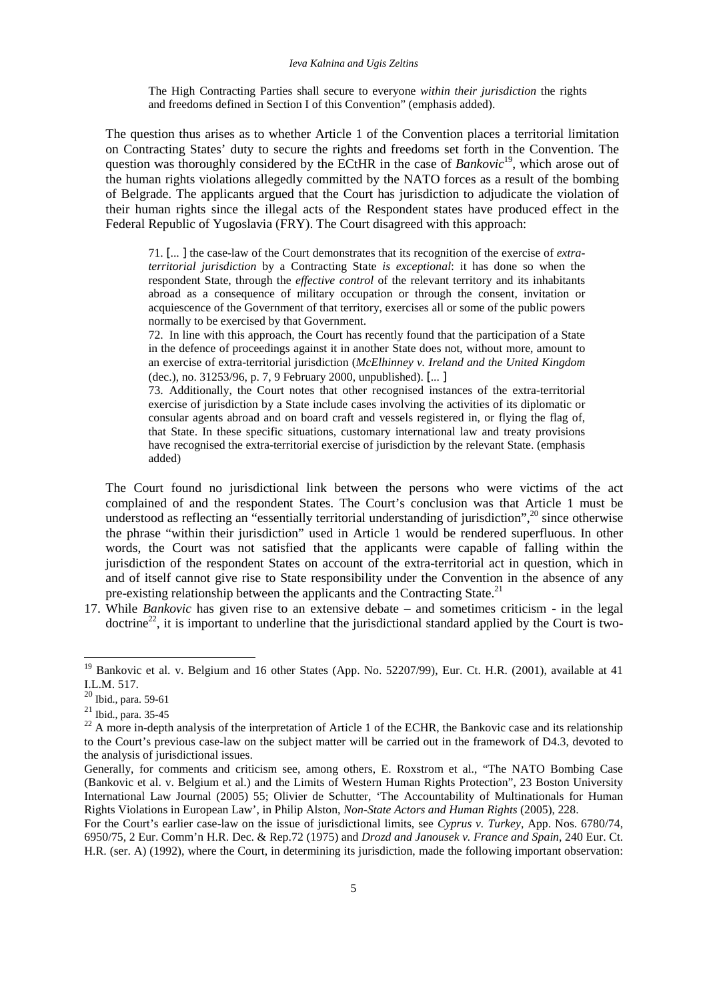The High Contracting Parties shall secure to everyone *within their jurisdiction* the rights and freedoms defined in Section I of this Convention" (emphasis added).

The question thus arises as to whether Article 1 of the Convention places a territorial limitation on Contracting States' duty to secure the rights and freedoms set forth in the Convention. The question was thoroughly considered by the ECtHR in the case of *Bankovic*<sup>19</sup>, which arose out of the human rights violations allegedly committed by the NATO forces as a result of the bombing of Belgrade. The applicants argued that the Court has jurisdiction to adjudicate the violation of their human rights since the illegal acts of the Respondent states have produced effect in the Federal Republic of Yugoslavia (FRY). The Court disagreed with this approach:

71. [... ] the case-law of the Court demonstrates that its recognition of the exercise of *extraterritorial jurisdiction* by a Contracting State *is exceptional*: it has done so when the respondent State, through the *effective control* of the relevant territory and its inhabitants abroad as a consequence of military occupation or through the consent, invitation or acquiescence of the Government of that territory, exercises all or some of the public powers normally to be exercised by that Government.

72. In line with this approach, the Court has recently found that the participation of a State in the defence of proceedings against it in another State does not, without more, amount to an exercise of extra-territorial jurisdiction (*McElhinney v. Ireland and the United Kingdom* (dec.), no. 31253/96, p. 7, 9 February 2000, unpublished). [... ]

73. Additionally, the Court notes that other recognised instances of the extra-territorial exercise of jurisdiction by a State include cases involving the activities of its diplomatic or consular agents abroad and on board craft and vessels registered in, or flying the flag of, that State. In these specific situations, customary international law and treaty provisions have recognised the extra-territorial exercise of jurisdiction by the relevant State. (emphasis added)

The Court found no jurisdictional link between the persons who were victims of the act complained of and the respondent States. The Court's conclusion was that Article 1 must be understood as reflecting an "essentially territorial understanding of jurisdiction",<sup>20</sup> since otherwise the phrase "within their jurisdiction" used in Article 1 would be rendered superfluous. In other words, the Court was not satisfied that the applicants were capable of falling within the jurisdiction of the respondent States on account of the extra-territorial act in question, which in and of itself cannot give rise to State responsibility under the Convention in the absence of any pre-existing relationship between the applicants and the Contracting State.<sup>21</sup>

17. While *Bankovic* has given rise to an extensive debate – and sometimes criticism - in the legal doctrine<sup>22</sup>, it is important to underline that the jurisdictional standard applied by the Court is two-

<sup>&</sup>lt;sup>19</sup> Bankovic et al. v. Belgium and 16 other States (App. No. 52207/99), Eur. Ct. H.R. (2001), available at 41 I.L.M. 517.

<sup>20</sup> Ibid., para. 59-61

<sup>21</sup> Ibid., para. 35-45

 $^{22}$  A more in-depth analysis of the interpretation of Article 1 of the ECHR, the Bankovic case and its relationship to the Court's previous case-law on the subject matter will be carried out in the framework of D4.3, devoted to the analysis of jurisdictional issues.

Generally, for comments and criticism see, among others, E. Roxstrom et al., "The NATO Bombing Case (Bankovic et al. v. Belgium et al.) and the Limits of Western Human Rights Protection", 23 Boston University International Law Journal (2005) 55; Olivier de Schutter, 'The Accountability of Multinationals for Human Rights Violations in European Law', in Philip Alston, *Non-State Actors and Human Rights* (2005), 228.

For the Court's earlier case-law on the issue of jurisdictional limits, see *Cyprus v. Turkey*, App. Nos. 6780/74, 6950/75, 2 Eur. Comm'n H.R. Dec. & Rep.72 (1975) and *Drozd and Janousek v. France and Spain*, 240 Eur. Ct. H.R. (ser. A) (1992), where the Court, in determining its jurisdiction, made the following important observation: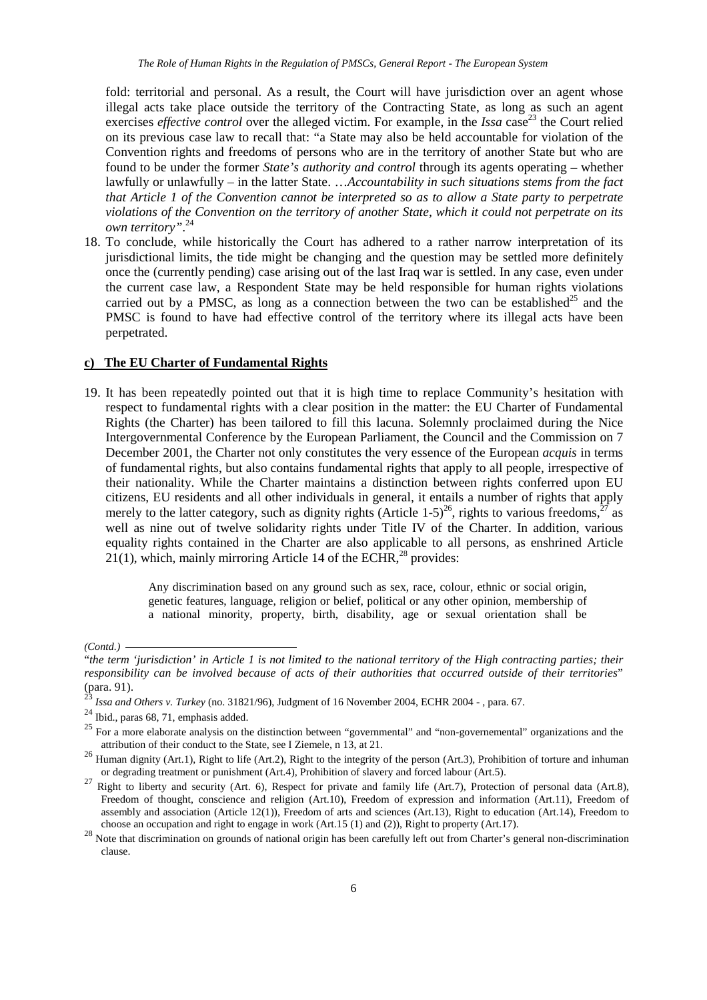fold: territorial and personal. As a result, the Court will have jurisdiction over an agent whose illegal acts take place outside the territory of the Contracting State, as long as such an agent exercises *effective control* over the alleged victim. For example, in the *Issa* case<sup>23</sup> the Court relied on its previous case law to recall that: "a State may also be held accountable for violation of the Convention rights and freedoms of persons who are in the territory of another State but who are found to be under the former *State's authority and control* through its agents operating – whether lawfully or unlawfully – in the latter State. …*Accountability in such situations stems from the fact that Article 1 of the Convention cannot be interpreted so as to allow a State party to perpetrate violations of the Convention on the territory of another State, which it could not perpetrate on its own territory"*. 24

18. To conclude, while historically the Court has adhered to a rather narrow interpretation of its jurisdictional limits, the tide might be changing and the question may be settled more definitely once the (currently pending) case arising out of the last Iraq war is settled. In any case, even under the current case law, a Respondent State may be held responsible for human rights violations carried out by a PMSC, as long as a connection between the two can be established<sup>25</sup> and the PMSC is found to have had effective control of the territory where its illegal acts have been perpetrated.

#### **c) The EU Charter of Fundamental Rights**

19. It has been repeatedly pointed out that it is high time to replace Community's hesitation with respect to fundamental rights with a clear position in the matter: the EU Charter of Fundamental Rights (the Charter) has been tailored to fill this lacuna. Solemnly proclaimed during the Nice Intergovernmental Conference by the European Parliament, the Council and the Commission on 7 December 2001, the Charter not only constitutes the very essence of the European *acquis* in terms of fundamental rights, but also contains fundamental rights that apply to all people, irrespective of their nationality. While the Charter maintains a distinction between rights conferred upon EU citizens, EU residents and all other individuals in general, it entails a number of rights that apply merely to the latter category, such as dignity rights (Article 1-5)<sup>26</sup>, rights to various freedoms,  $\frac{27}{1}$  as well as nine out of twelve solidarity rights under Title IV of the Charter. In addition, various equality rights contained in the Charter are also applicable to all persons, as enshrined Article  $21(1)$ , which, mainly mirroring Article 14 of the ECHR,<sup>28</sup> provides:

> Any discrimination based on any ground such as sex, race, colour, ethnic or social origin, genetic features, language, religion or belief, political or any other opinion, membership of a national minority, property, birth, disability, age or sexual orientation shall be

*<sup>(</sup>Contd.)* 

<sup>&</sup>quot;*the term 'jurisdiction' in Article 1 is not limited to the national territory of the High contracting parties; their responsibility can be involved because of acts of their authorities that occurred outside of their territories*"  $\arctan \frac{1}{23}$ .

<sup>23</sup> *Issa and Others v. Turkey* (no. 31821/96), Judgment of 16 November 2004, ECHR 2004 - , para. 67.

<sup>24</sup> Ibid., paras 68, 71, emphasis added.

 $25$  For a more elaborate analysis on the distinction between "governmental" and "non-governemental" organizations and the attribution of their conduct to the State, see I Ziemele, n 13, at 21.

 $^{26}$  Human dignity (Art.1), Right to life (Art.2), Right to the integrity of the person (Art.3), Prohibition of torture and inhuman or degrading treatment or punishment (Art.4), Prohibition of slavery and forced labour (Art.5).

<sup>&</sup>lt;sup>27</sup> Right to liberty and security (Art. 6), Respect for private and family life (Art.7), Protection of personal data (Art.8), Freedom of thought, conscience and religion (Art.10), Freedom of expression and information (Art.11), Freedom of assembly and association (Article 12(1)), Freedom of arts and sciences (Art.13), Right to education (Art.14), Freedom to choose an occupation and right to engage in work (Art.15 (1) and (2)), Right to property (Art.17).

<sup>&</sup>lt;sup>28</sup> Note that discrimination on grounds of national origin has been carefully left out from Charter's general non-discrimination clause.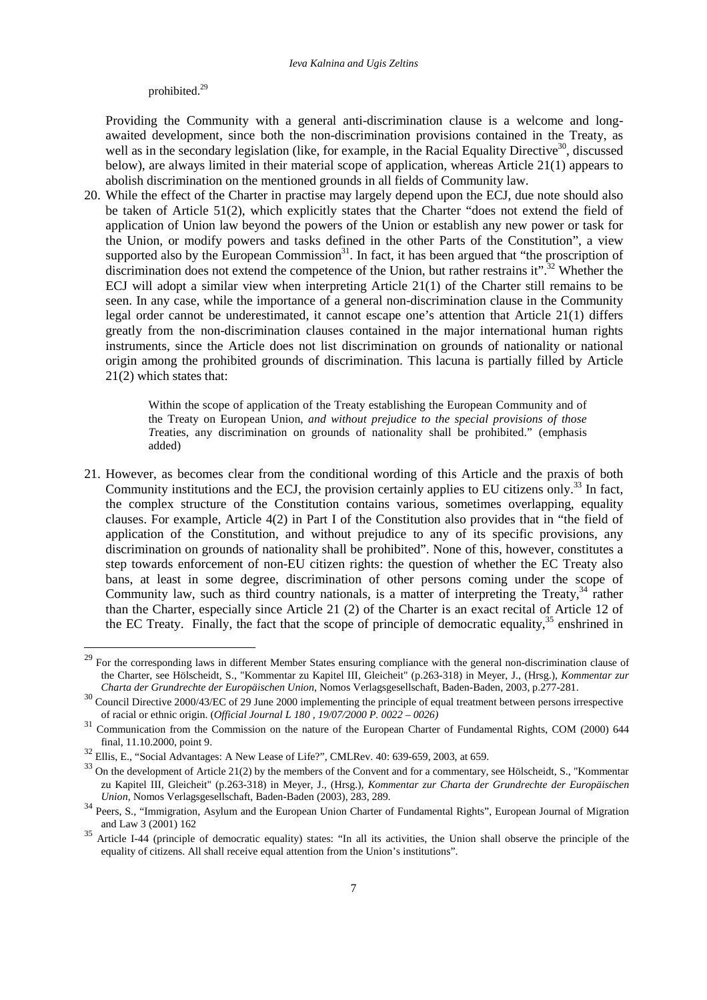prohibited.<sup>29</sup>

 $\overline{a}$ 

Providing the Community with a general anti-discrimination clause is a welcome and longawaited development, since both the non-discrimination provisions contained in the Treaty, as well as in the secondary legislation (like, for example, in the Racial Equality Directive<sup>30</sup>, discussed below), are always limited in their material scope of application, whereas Article 21(1) appears to abolish discrimination on the mentioned grounds in all fields of Community law.

20. While the effect of the Charter in practise may largely depend upon the ECJ, due note should also be taken of Article 51(2), which explicitly states that the Charter "does not extend the field of application of Union law beyond the powers of the Union or establish any new power or task for the Union, or modify powers and tasks defined in the other Parts of the Constitution", a view supported also by the European Commission<sup>31</sup>. In fact, it has been argued that "the proscription of discrimination does not extend the competence of the Union, but rather restrains it".<sup>32</sup> Whether the ECJ will adopt a similar view when interpreting Article 21(1) of the Charter still remains to be seen. In any case, while the importance of a general non-discrimination clause in the Community legal order cannot be underestimated, it cannot escape one's attention that Article 21(1) differs greatly from the non-discrimination clauses contained in the major international human rights instruments, since the Article does not list discrimination on grounds of nationality or national origin among the prohibited grounds of discrimination. This lacuna is partially filled by Article 21(2) which states that:

> Within the scope of application of the Treaty establishing the European Community and of the Treaty on European Union, *and without prejudice to the special provisions of those T*reaties, any discrimination on grounds of nationality shall be prohibited." (emphasis added)

21. However, as becomes clear from the conditional wording of this Article and the praxis of both Community institutions and the ECJ, the provision certainly applies to EU citizens only.<sup>33</sup> In fact, the complex structure of the Constitution contains various, sometimes overlapping, equality clauses. For example, Article 4(2) in Part I of the Constitution also provides that in "the field of application of the Constitution, and without prejudice to any of its specific provisions, any discrimination on grounds of nationality shall be prohibited". None of this, however, constitutes a step towards enforcement of non-EU citizen rights: the question of whether the EC Treaty also bans, at least in some degree, discrimination of other persons coming under the scope of Community law, such as third country nationals, is a matter of interpreting the Treaty, $34$  rather than the Charter, especially since Article 21 (2) of the Charter is an exact recital of Article 12 of the EC Treaty. Finally, the fact that the scope of principle of democratic equality, $35$  enshrined in

<sup>&</sup>lt;sup>29</sup> For the corresponding laws in different Member States ensuring compliance with the general non-discrimination clause of the Charter, see Hölscheidt, S., "Kommentar zu Kapitel III, Gleicheit" (p.263-318) in Meyer, J., (Hrsg.), *Kommentar zur Charta der Grundrechte der Europäischen Union*, Nomos Verlagsgesellschaft, Baden-Baden, 2003, p.277-281.

<sup>&</sup>lt;sup>30</sup> Council Directive 2000/43/EC of 29 June 2000 implementing the principle of equal treatment between persons irrespective of racial or ethnic origin. (*Official Journal L 180 , 19/07/2000 P. 0022 – 0026)*

<sup>&</sup>lt;sup>31</sup> Communication from the Commission on the nature of the European Charter of Fundamental Rights, COM (2000) 644 final, 11.10.2000, point 9.

<sup>32</sup> Ellis, E., "Social Advantages: A New Lease of Life?", CMLRev. 40: 639-659, 2003, at 659.

<sup>&</sup>lt;sup>33</sup> On the development of Article 21(2) by the members of the Convent and for a commentary, see Hölscheidt, S., "Kommentar zu Kapitel III, Gleicheit" (p.263-318) in Meyer, J., (Hrsg.), *Kommentar zur Charta der Grundrechte der Europäischen Union*, Nomos Verlagsgesellschaft, Baden-Baden (2003), 283, 289.

<sup>&</sup>lt;sup>34</sup> Peers, S., "Immigration, Asylum and the European Union Charter of Fundamental Rights", European Journal of Migration and Law 3 (2001) 162

<sup>&</sup>lt;sup>35</sup> Article I-44 (principle of democratic equality) states: "In all its activities, the Union shall observe the principle of the equality of citizens. All shall receive equal attention from the Union's institutions".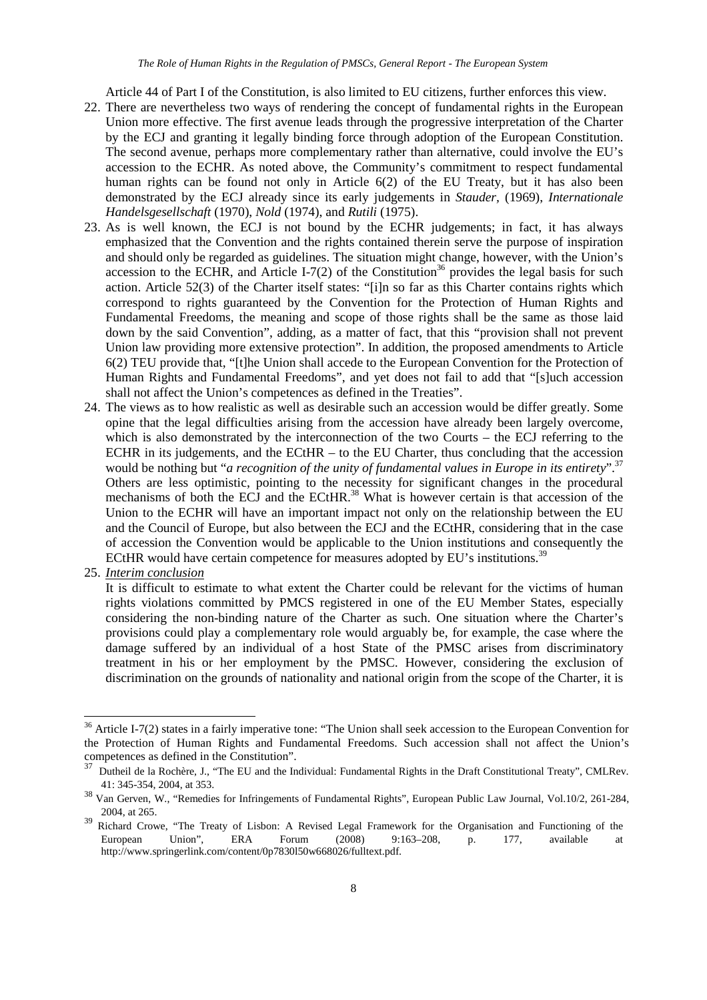Article 44 of Part I of the Constitution, is also limited to EU citizens, further enforces this view.

- 22. There are nevertheless two ways of rendering the concept of fundamental rights in the European Union more effective. The first avenue leads through the progressive interpretation of the Charter by the ECJ and granting it legally binding force through adoption of the European Constitution. The second avenue, perhaps more complementary rather than alternative, could involve the EU's accession to the ECHR. As noted above, the Community's commitment to respect fundamental human rights can be found not only in Article 6(2) of the EU Treaty, but it has also been demonstrated by the ECJ already since its early judgements in *Stauder,* (1969), *Internationale Handelsgesellschaft* (1970), *Nold* (1974), and *Rutili* (1975).
- 23. As is well known, the ECJ is not bound by the ECHR judgements; in fact, it has always emphasized that the Convention and the rights contained therein serve the purpose of inspiration and should only be regarded as guidelines. The situation might change, however, with the Union's accession to the ECHR, and Article I-7(2) of the Constitution<sup>36</sup> provides the legal basis for such action. Article 52(3) of the Charter itself states: "[i]n so far as this Charter contains rights which correspond to rights guaranteed by the Convention for the Protection of Human Rights and Fundamental Freedoms, the meaning and scope of those rights shall be the same as those laid down by the said Convention", adding, as a matter of fact, that this "provision shall not prevent Union law providing more extensive protection". In addition, the proposed amendments to Article 6(2) TEU provide that, "[t]he Union shall accede to the European Convention for the Protection of Human Rights and Fundamental Freedoms", and yet does not fail to add that "[s]uch accession shall not affect the Union's competences as defined in the Treaties".
- 24. The views as to how realistic as well as desirable such an accession would be differ greatly. Some opine that the legal difficulties arising from the accession have already been largely overcome, which is also demonstrated by the interconnection of the two Courts – the ECJ referring to the ECHR in its judgements, and the ECtHR – to the EU Charter, thus concluding that the accession would be nothing but "*a recognition of the unity of fundamental values in Europe in its entirety*".<sup>37</sup> Others are less optimistic, pointing to the necessity for significant changes in the procedural mechanisms of both the ECJ and the ECtHR.<sup>38</sup> What is however certain is that accession of the Union to the ECHR will have an important impact not only on the relationship between the EU and the Council of Europe, but also between the ECJ and the ECtHR, considering that in the case of accession the Convention would be applicable to the Union institutions and consequently the ECtHR would have certain competence for measures adopted by EU's institutions.<sup>39</sup>
- 25. *Interim conclusion*

 $\overline{a}$ 

It is difficult to estimate to what extent the Charter could be relevant for the victims of human rights violations committed by PMCS registered in one of the EU Member States, especially considering the non-binding nature of the Charter as such. One situation where the Charter's provisions could play a complementary role would arguably be, for example, the case where the damage suffered by an individual of a host State of the PMSC arises from discriminatory treatment in his or her employment by the PMSC. However, considering the exclusion of discrimination on the grounds of nationality and national origin from the scope of the Charter, it is

<sup>&</sup>lt;sup>36</sup> Article I-7(2) states in a fairly imperative tone: "The Union shall seek accession to the European Convention for the Protection of Human Rights and Fundamental Freedoms. Such accession shall not affect the Union's competences as defined in the Constitution".

<sup>37</sup> Dutheil de la Rochère, J., "The EU and the Individual: Fundamental Rights in the Draft Constitutional Treaty", CMLRev. 41: 345-354, 2004, at 353.

<sup>38</sup> Van Gerven, W., "Remedies for Infringements of Fundamental Rights", European Public Law Journal, Vol.10/2, 261-284, 2004, at 265.

<sup>&</sup>lt;sup>39</sup> Richard Crowe, "The Treaty of Lisbon: A Revised Legal Framework for the Organisation and Functioning of the European Union", ERA Forum (2008) 9:163–208, p. 177, available at http://www.springerlink.com/content/0p7830l50w668026/fulltext.pdf.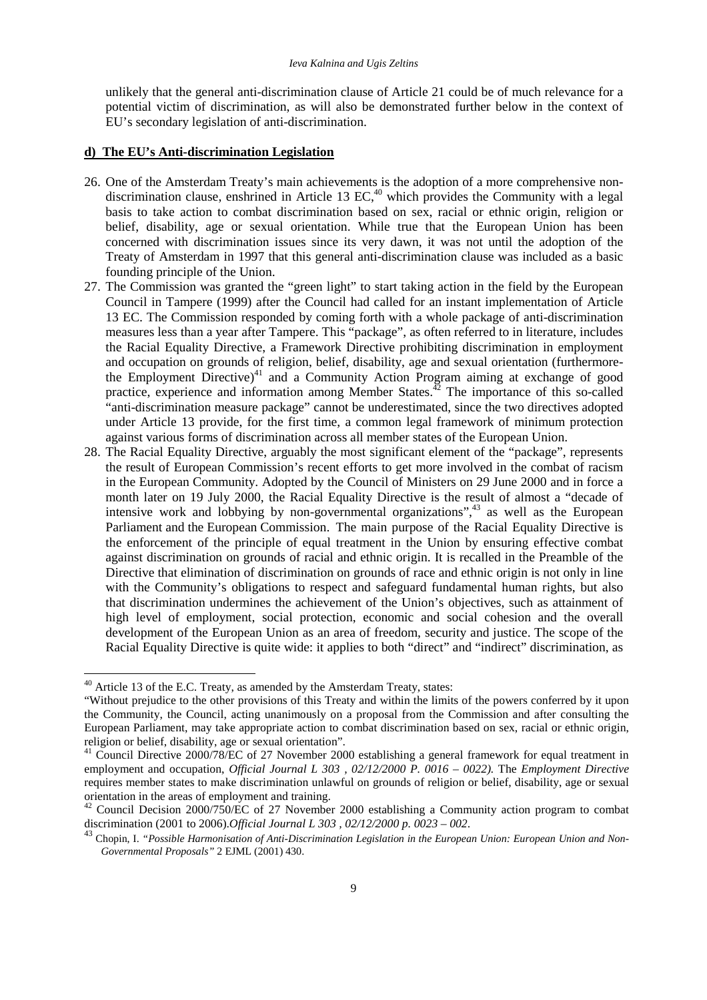unlikely that the general anti-discrimination clause of Article 21 could be of much relevance for a potential victim of discrimination, as will also be demonstrated further below in the context of EU's secondary legislation of anti-discrimination.

# **d) The EU's Anti-discrimination Legislation**

- 26. One of the Amsterdam Treaty's main achievements is the adoption of a more comprehensive nondiscrimination clause, enshrined in Article 13 EC,<sup>40</sup> which provides the Community with a legal basis to take action to combat discrimination based on sex, racial or ethnic origin, religion or belief, disability, age or sexual orientation. While true that the European Union has been concerned with discrimination issues since its very dawn, it was not until the adoption of the Treaty of Amsterdam in 1997 that this general anti-discrimination clause was included as a basic founding principle of the Union.
- 27. The Commission was granted the "green light" to start taking action in the field by the European Council in Tampere (1999) after the Council had called for an instant implementation of Article 13 EC. The Commission responded by coming forth with a whole package of anti-discrimination measures less than a year after Tampere. This "package", as often referred to in literature, includes the Racial Equality Directive, a Framework Directive prohibiting discrimination in employment and occupation on grounds of religion, belief, disability, age and sexual orientation (furthermorethe Employment Directive) $41$  and a Community Action Program aiming at exchange of good practice, experience and information among Member States.<sup> $\frac{\pi}{2}$ </sup> The importance of this so-called "anti-discrimination measure package" cannot be underestimated, since the two directives adopted under Article 13 provide, for the first time, a common legal framework of minimum protection against various forms of discrimination across all member states of the European Union.
- 28. The Racial Equality Directive, arguably the most significant element of the "package", represents the result of European Commission's recent efforts to get more involved in the combat of racism in the European Community. Adopted by the Council of Ministers on 29 June 2000 and in force a month later on 19 July 2000, the Racial Equality Directive is the result of almost a "decade of intensive work and lobbying by non-governmental organizations",<sup>43</sup> as well as the European Parliament and the European Commission. The main purpose of the Racial Equality Directive is the enforcement of the principle of equal treatment in the Union by ensuring effective combat against discrimination on grounds of racial and ethnic origin. It is recalled in the Preamble of the Directive that elimination of discrimination on grounds of race and ethnic origin is not only in line with the Community's obligations to respect and safeguard fundamental human rights, but also that discrimination undermines the achievement of the Union's objectives, such as attainment of high level of employment, social protection, economic and social cohesion and the overall development of the European Union as an area of freedom, security and justice. The scope of the Racial Equality Directive is quite wide: it applies to both "direct" and "indirect" discrimination, as

l

 $40$  Article 13 of the E.C. Treaty, as amended by the Amsterdam Treaty, states:

<sup>&</sup>quot;Without prejudice to the other provisions of this Treaty and within the limits of the powers conferred by it upon the Community, the Council, acting unanimously on a proposal from the Commission and after consulting the European Parliament, may take appropriate action to combat discrimination based on sex, racial or ethnic origin, religion or belief, disability, age or sexual orientation".

<sup>&</sup>lt;sup>41</sup> Council Directive 2000/78/EC of 27 November 2000 establishing a general framework for equal treatment in employment and occupation, *Official Journal L 303 , 02/12/2000 P. 0016 – 0022).* The *Employment Directive* requires member states to make discrimination unlawful on grounds of religion or belief, disability, age or sexual orientation in the areas of employment and training.

<sup>&</sup>lt;sup>42</sup> Council Decision 2000/750/EC of 27 November 2000 establishing a Community action program to combat discrimination (2001 to 2006).*Official Journal L 303 , 02/12/2000 p. 0023 – 002*.

<sup>43</sup> Chopin, I. *"Possible Harmonisation of Anti-Discrimination Legislation in the European Union: European Union and Non-Governmental Proposals"* 2 EJML (2001) 430.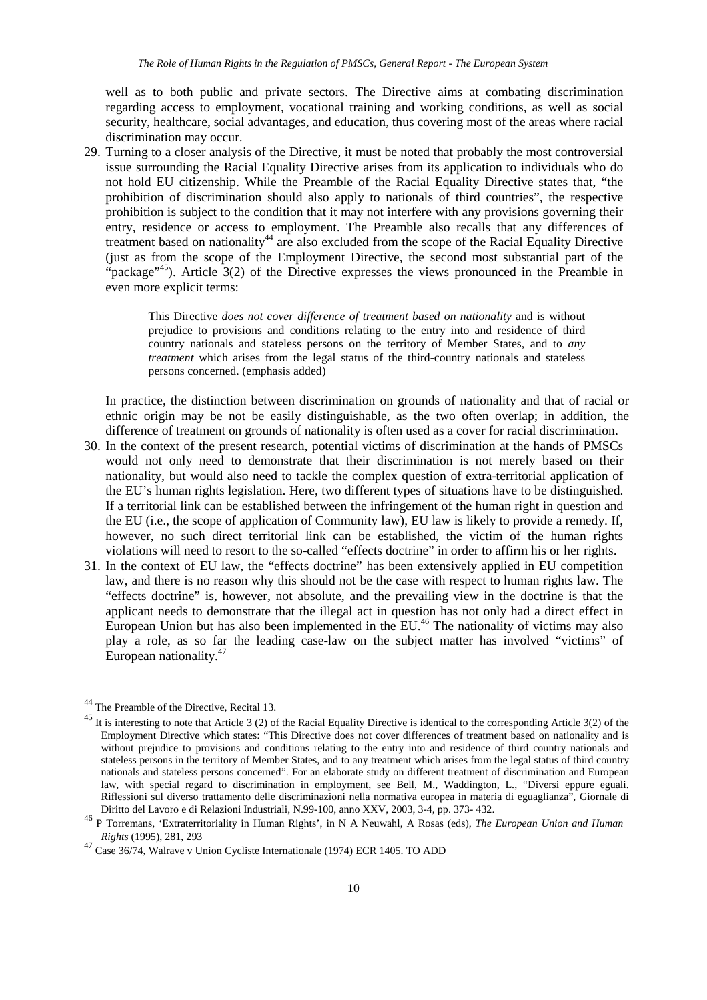well as to both public and private sectors. The Directive aims at combating discrimination regarding access to employment, vocational training and working conditions, as well as social security, healthcare, social advantages, and education, thus covering most of the areas where racial discrimination may occur.

29. Turning to a closer analysis of the Directive, it must be noted that probably the most controversial issue surrounding the Racial Equality Directive arises from its application to individuals who do not hold EU citizenship. While the Preamble of the Racial Equality Directive states that, "the prohibition of discrimination should also apply to nationals of third countries", the respective prohibition is subject to the condition that it may not interfere with any provisions governing their entry, residence or access to employment. The Preamble also recalls that any differences of treatment based on nationality<sup>44</sup> are also excluded from the scope of the Racial Equality Directive (just as from the scope of the Employment Directive, the second most substantial part of the "package"<sup>45</sup>). Article  $3(2)$  of the Directive expresses the views pronounced in the Preamble in even more explicit terms:

> This Directive *does not cover difference of treatment based on nationality* and is without prejudice to provisions and conditions relating to the entry into and residence of third country nationals and stateless persons on the territory of Member States, and to *any treatment* which arises from the legal status of the third-country nationals and stateless persons concerned. (emphasis added)

In practice, the distinction between discrimination on grounds of nationality and that of racial or ethnic origin may be not be easily distinguishable, as the two often overlap; in addition, the difference of treatment on grounds of nationality is often used as a cover for racial discrimination.

- 30. In the context of the present research, potential victims of discrimination at the hands of PMSCs would not only need to demonstrate that their discrimination is not merely based on their nationality, but would also need to tackle the complex question of extra-territorial application of the EU's human rights legislation. Here, two different types of situations have to be distinguished. If a territorial link can be established between the infringement of the human right in question and the EU (i.e., the scope of application of Community law), EU law is likely to provide a remedy. If, however, no such direct territorial link can be established, the victim of the human rights violations will need to resort to the so-called "effects doctrine" in order to affirm his or her rights.
- 31. In the context of EU law, the "effects doctrine" has been extensively applied in EU competition law, and there is no reason why this should not be the case with respect to human rights law. The "effects doctrine" is, however, not absolute, and the prevailing view in the doctrine is that the applicant needs to demonstrate that the illegal act in question has not only had a direct effect in European Union but has also been implemented in the  $EU^{46}$ . The nationality of victims may also play a role, as so far the leading case-law on the subject matter has involved "victims" of European nationality.<sup>47</sup>

<sup>&</sup>lt;sup>44</sup> The Preamble of the Directive, Recital 13.

 $45$  It is interesting to note that Article 3 (2) of the Racial Equality Directive is identical to the corresponding Article 3(2) of the Employment Directive which states: "This Directive does not cover differences of treatment based on nationality and is without prejudice to provisions and conditions relating to the entry into and residence of third country nationals and stateless persons in the territory of Member States, and to any treatment which arises from the legal status of third country nationals and stateless persons concerned". For an elaborate study on different treatment of discrimination and European law, with special regard to discrimination in employment, see Bell, M., Waddington, L., "Diversi eppure eguali. Riflessioni sul diverso trattamento delle discriminazioni nella normativa europea in materia di eguaglianza", Giornale di Diritto del Lavoro e di Relazioni Industriali, N.99-100, anno XXV, 2003, 3-4, pp. 373- 432.

<sup>46</sup> P Torremans, 'Extraterritoriality in Human Rights', in N A Neuwahl, A Rosas (eds), *The European Union and Human Rights* (1995), 281, 293

<sup>47</sup> Case 36/74, Walrave v Union Cycliste Internationale (1974) ECR 1405. TO ADD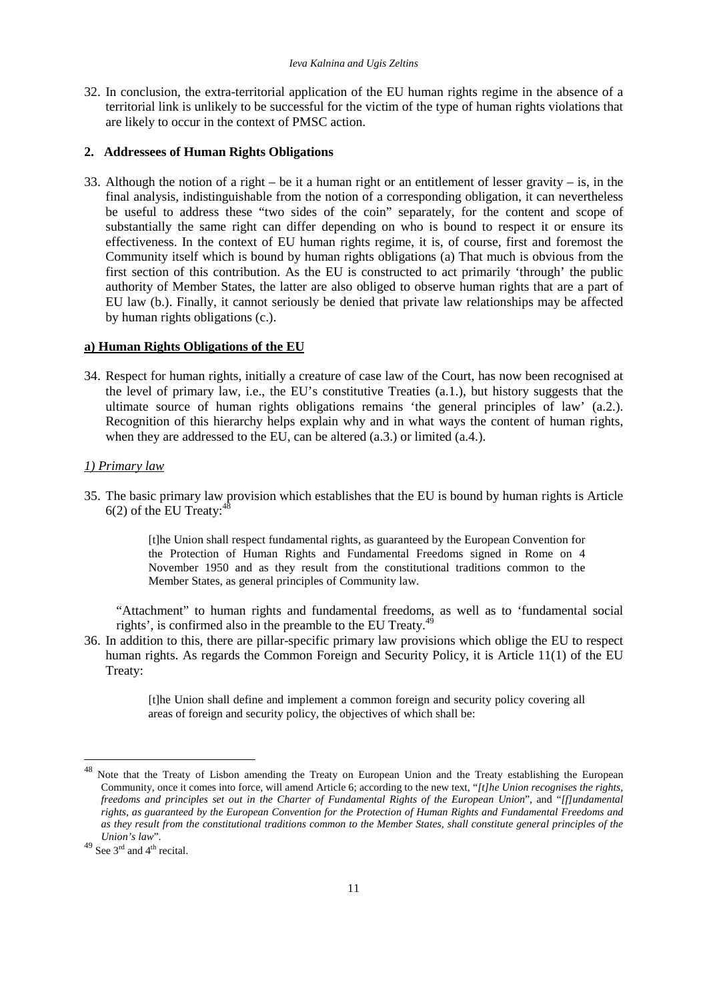32. In conclusion, the extra-territorial application of the EU human rights regime in the absence of a territorial link is unlikely to be successful for the victim of the type of human rights violations that are likely to occur in the context of PMSC action.

#### **2. Addressees of Human Rights Obligations**

33. Although the notion of a right – be it a human right or an entitlement of lesser gravity – is, in the final analysis, indistinguishable from the notion of a corresponding obligation, it can nevertheless be useful to address these "two sides of the coin" separately, for the content and scope of substantially the same right can differ depending on who is bound to respect it or ensure its effectiveness. In the context of EU human rights regime, it is, of course, first and foremost the Community itself which is bound by human rights obligations (a) That much is obvious from the first section of this contribution. As the EU is constructed to act primarily 'through' the public authority of Member States, the latter are also obliged to observe human rights that are a part of EU law (b.). Finally, it cannot seriously be denied that private law relationships may be affected by human rights obligations (c.).

#### **a) Human Rights Obligations of the EU**

34. Respect for human rights, initially a creature of case law of the Court, has now been recognised at the level of primary law, i.e., the EU's constitutive Treaties (a.1.), but history suggests that the ultimate source of human rights obligations remains 'the general principles of law' (a.2.). Recognition of this hierarchy helps explain why and in what ways the content of human rights, when they are addressed to the EU, can be altered  $(a.3.)$  or limited  $(a.4.)$ .

#### *1) Primary law*

35. The basic primary law provision which establishes that the EU is bound by human rights is Article  $6(2)$  of the EU Treaty:<sup>48</sup>

> [t]he Union shall respect fundamental rights, as guaranteed by the European Convention for the Protection of Human Rights and Fundamental Freedoms signed in Rome on 4 November 1950 and as they result from the constitutional traditions common to the Member States, as general principles of Community law.

"Attachment" to human rights and fundamental freedoms, as well as to 'fundamental social rights', is confirmed also in the preamble to the EU Treaty.<sup>49</sup>

36. In addition to this, there are pillar-specific primary law provisions which oblige the EU to respect human rights. As regards the Common Foreign and Security Policy, it is Article 11(1) of the EU Treaty:

> [t]he Union shall define and implement a common foreign and security policy covering all areas of foreign and security policy, the objectives of which shall be:

Note that the Treaty of Lisbon amending the Treaty on European Union and the Treaty establishing the European Community, once it comes into force, will amend Article 6; according to the new text, "*[t]he Union recognises the rights, freedoms and principles set out in the Charter of Fundamental Rights of the European Union*", and "*[f]undamental rights, as guaranteed by the European Convention for the Protection of Human Rights and Fundamental Freedoms and as they result from the constitutional traditions common to the Member States, shall constitute general principles of the Union's law*".

 $^{49}$  See 3<sup>rd</sup> and 4<sup>th</sup> recital.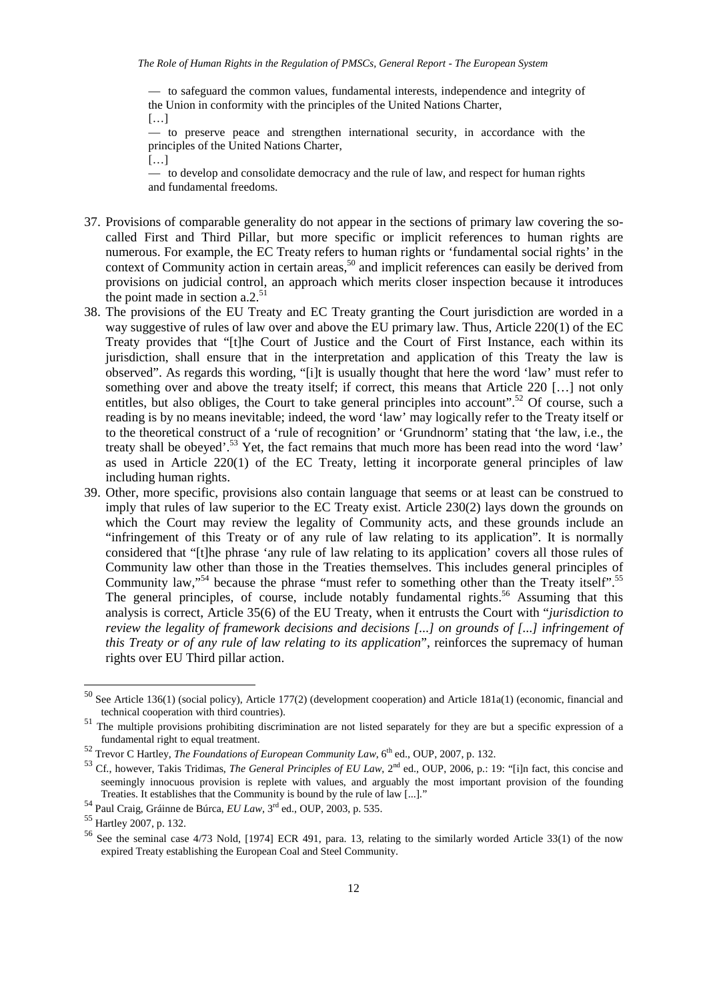— to safeguard the common values, fundamental interests, independence and integrity of the Union in conformity with the principles of the United Nations Charter,

[…]

— to preserve peace and strengthen international security, in accordance with the principles of the United Nations Charter,

[…]

— to develop and consolidate democracy and the rule of law, and respect for human rights and fundamental freedoms.

- 37. Provisions of comparable generality do not appear in the sections of primary law covering the socalled First and Third Pillar, but more specific or implicit references to human rights are numerous. For example, the EC Treaty refers to human rights or 'fundamental social rights' in the context of Community action in certain areas,<sup>50</sup> and implicit references can easily be derived from provisions on judicial control, an approach which merits closer inspection because it introduces the point made in section  $a.2^{51}$
- 38. The provisions of the EU Treaty and EC Treaty granting the Court jurisdiction are worded in a way suggestive of rules of law over and above the EU primary law. Thus, Article 220(1) of the EC Treaty provides that "[t]he Court of Justice and the Court of First Instance, each within its jurisdiction, shall ensure that in the interpretation and application of this Treaty the law is observed". As regards this wording, "[i]t is usually thought that here the word 'law' must refer to something over and above the treaty itself; if correct, this means that Article 220 […] not only entitles, but also obliges, the Court to take general principles into account".<sup>52</sup> Of course, such a reading is by no means inevitable; indeed, the word 'law' may logically refer to the Treaty itself or to the theoretical construct of a 'rule of recognition' or 'Grundnorm' stating that 'the law, i.e., the treaty shall be obeyed'.<sup>53</sup> Yet, the fact remains that much more has been read into the word 'law' as used in Article 220(1) of the EC Treaty, letting it incorporate general principles of law including human rights.
- 39. Other, more specific, provisions also contain language that seems or at least can be construed to imply that rules of law superior to the EC Treaty exist. Article 230(2) lays down the grounds on which the Court may review the legality of Community acts, and these grounds include an "infringement of this Treaty or of any rule of law relating to its application". It is normally considered that "[t]he phrase 'any rule of law relating to its application' covers all those rules of Community law other than those in the Treaties themselves. This includes general principles of Community law,<sup>54</sup> because the phrase "must refer to something other than the Treaty itself".<sup>55</sup> The general principles, of course, include notably fundamental rights.<sup>56</sup> Assuming that this analysis is correct, Article 35(6) of the EU Treaty, when it entrusts the Court with "*jurisdiction to review the legality of framework decisions and decisions [...] on grounds of [...] infringement of this Treaty or of any rule of law relating to its application*", reinforces the supremacy of human rights over EU Third pillar action.

<sup>&</sup>lt;sup>50</sup> See Article 136(1) (social policy), Article 177(2) (development cooperation) and Article 181a(1) (economic, financial and technical cooperation with third countries).

<sup>&</sup>lt;sup>51</sup> The multiple provisions prohibiting discrimination are not listed separately for they are but a specific expression of a fundamental right to equal treatment.

<sup>52</sup> Trevor C Hartley, *The Foundations of European Community Law*, 6<sup>th</sup> ed., OUP, 2007, p. 132.

<sup>53</sup> Cf., however, Takis Tridimas, *The General Principles of EU Law*, 2nd ed., OUP, 2006, p.: 19: "[i]n fact, this concise and seemingly innocuous provision is replete with values, and arguably the most important provision of the founding Treaties. It establishes that the Community is bound by the rule of law [...]*.*"

<sup>54</sup> Paul Craig, Gráinne de Búrca, *EU Law*, 3rd ed., OUP, 2003, p. 535.

<sup>55</sup> Hartley 2007, p. 132.

<sup>56</sup> See the seminal case 4/73 Nold, [1974] ECR 491, para. 13, relating to the similarly worded Article 33(1) of the now expired Treaty establishing the European Coal and Steel Community.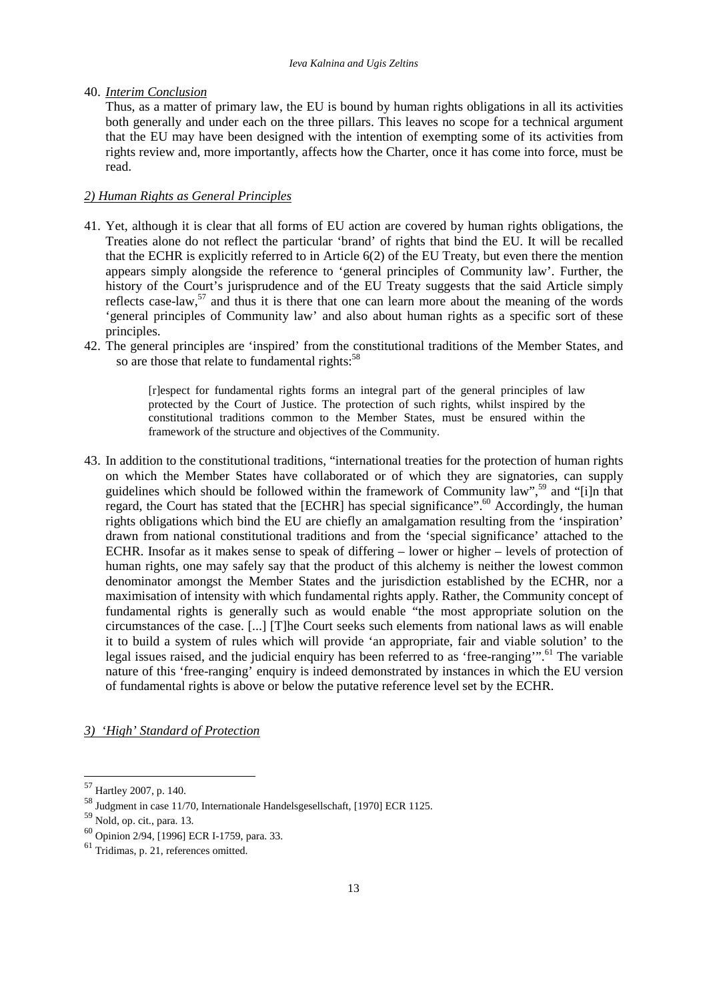#### 40. *Interim Conclusion*

Thus, as a matter of primary law, the EU is bound by human rights obligations in all its activities both generally and under each on the three pillars. This leaves no scope for a technical argument that the EU may have been designed with the intention of exempting some of its activities from rights review and, more importantly, affects how the Charter, once it has come into force, must be read.

# *2) Human Rights as General Principles*

- 41. Yet, although it is clear that all forms of EU action are covered by human rights obligations, the Treaties alone do not reflect the particular 'brand' of rights that bind the EU. It will be recalled that the ECHR is explicitly referred to in Article 6(2) of the EU Treaty, but even there the mention appears simply alongside the reference to 'general principles of Community law'. Further, the history of the Court's jurisprudence and of the EU Treaty suggests that the said Article simply reflects case-law,<sup>57</sup> and thus it is there that one can learn more about the meaning of the words 'general principles of Community law' and also about human rights as a specific sort of these principles.
- 42. The general principles are 'inspired' from the constitutional traditions of the Member States, and so are those that relate to fundamental rights:<sup>58</sup>

[r]espect for fundamental rights forms an integral part of the general principles of law protected by the Court of Justice. The protection of such rights, whilst inspired by the constitutional traditions common to the Member States, must be ensured within the framework of the structure and objectives of the Community.

43. In addition to the constitutional traditions, "international treaties for the protection of human rights on which the Member States have collaborated or of which they are signatories, can supply guidelines which should be followed within the framework of Community law",  $59$  and "[i]n that regard, the Court has stated that the [ECHR] has special significance".<sup>60</sup> Accordingly, the human rights obligations which bind the EU are chiefly an amalgamation resulting from the 'inspiration' drawn from national constitutional traditions and from the 'special significance' attached to the ECHR. Insofar as it makes sense to speak of differing – lower or higher – levels of protection of human rights, one may safely say that the product of this alchemy is neither the lowest common denominator amongst the Member States and the jurisdiction established by the ECHR, nor a maximisation of intensity with which fundamental rights apply. Rather, the Community concept of fundamental rights is generally such as would enable "the most appropriate solution on the circumstances of the case. [...] [T]he Court seeks such elements from national laws as will enable it to build a system of rules which will provide 'an appropriate, fair and viable solution' to the legal issues raised, and the judicial enquiry has been referred to as 'free-ranging'".<sup>61</sup> The variable nature of this 'free-ranging' enquiry is indeed demonstrated by instances in which the EU version of fundamental rights is above or below the putative reference level set by the ECHR.

*3) 'High' Standard of Protection*

<sup>57</sup> Hartley 2007, p. 140.

<sup>58</sup> Judgment in case 11/70, Internationale Handelsgesellschaft, [1970] ECR 1125.

<sup>59</sup> Nold, op. cit., para. 13.

<sup>60</sup> Opinion 2/94, [1996] ECR I-1759, para. 33.

<sup>61</sup> Tridimas, p. 21, references omitted.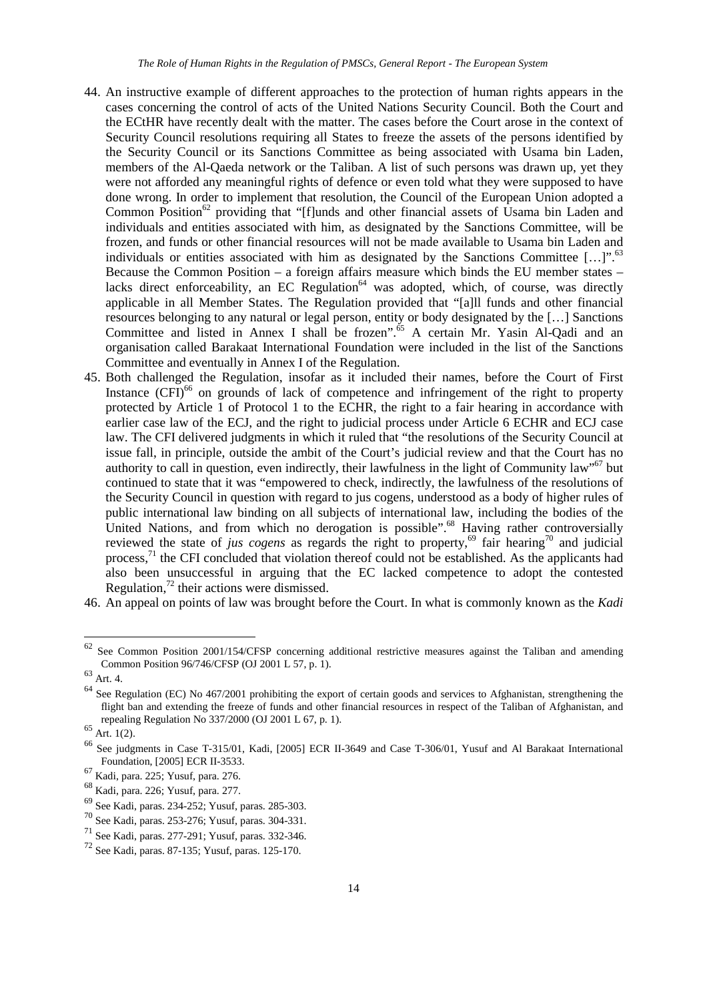- 44. An instructive example of different approaches to the protection of human rights appears in the cases concerning the control of acts of the United Nations Security Council. Both the Court and the ECtHR have recently dealt with the matter. The cases before the Court arose in the context of Security Council resolutions requiring all States to freeze the assets of the persons identified by the Security Council or its Sanctions Committee as being associated with Usama bin Laden, members of the Al-Qaeda network or the Taliban. A list of such persons was drawn up, yet they were not afforded any meaningful rights of defence or even told what they were supposed to have done wrong. In order to implement that resolution, the Council of the European Union adopted a Common Position<sup>62</sup> providing that "[f]unds and other financial assets of Usama bin Laden and individuals and entities associated with him, as designated by the Sanctions Committee, will be frozen, and funds or other financial resources will not be made available to Usama bin Laden and individuals or entities associated with him as designated by the Sanctions Committee  $[...]$ .<sup>63</sup> Because the Common Position – a foreign affairs measure which binds the EU member states – lacks direct enforceability, an EC Regulation<sup>64</sup> was adopted, which, of course, was directly applicable in all Member States. The Regulation provided that "[a]ll funds and other financial resources belonging to any natural or legal person, entity or body designated by the […] Sanctions Committee and listed in Annex I shall be frozen".<sup>65</sup> A certain Mr. Yasin Al-Qadi and an organisation called Barakaat International Foundation were included in the list of the Sanctions Committee and eventually in Annex I of the Regulation.
- 45. Both challenged the Regulation, insofar as it included their names, before the Court of First Instance  $(CFI)$ <sup>66</sup> on grounds of lack of competence and infringement of the right to property protected by Article 1 of Protocol 1 to the ECHR, the right to a fair hearing in accordance with earlier case law of the ECJ, and the right to judicial process under Article 6 ECHR and ECJ case law. The CFI delivered judgments in which it ruled that "the resolutions of the Security Council at issue fall, in principle, outside the ambit of the Court's judicial review and that the Court has no authority to call in question, even indirectly, their lawfulness in the light of Community law"<sup>67</sup> but continued to state that it was "empowered to check, indirectly, the lawfulness of the resolutions of the Security Council in question with regard to jus cogens, understood as a body of higher rules of public international law binding on all subjects of international law, including the bodies of the United Nations, and from which no derogation is possible".<sup>68</sup> Having rather controversially reviewed the state of *jus cogens* as regards the right to property,<sup>69</sup> fair hearing<sup>70</sup> and judicial process,<sup>71</sup> the CFI concluded that violation thereof could not be established. As the applicants had also been unsuccessful in arguing that the EC lacked competence to adopt the contested Regulation, $^{72}$  their actions were dismissed.
- 46. An appeal on points of law was brought before the Court. In what is commonly known as the *Kadi*

See Common Position 2001/154/CFSP concerning additional restrictive measures against the Taliban and amending Common Position 96/746/CFSP (OJ 2001 L 57, p. 1).

 $63$  Art. 4.

 $64$  See Regulation (EC) No 467/2001 prohibiting the export of certain goods and services to Afghanistan, strengthening the flight ban and extending the freeze of funds and other financial resources in respect of the Taliban of Afghanistan, and repealing Regulation No 337/2000 (OJ 2001 L 67, p. 1).

 $65$  Art. 1(2).

<sup>66</sup> See judgments in Case T-315/01, Kadi, [2005] ECR II-3649 and Case T-306/01, Yusuf and Al Barakaat International Foundation, [2005] ECR II-3533.

<sup>67</sup> Kadi, para. 225; Yusuf, para. 276.

<sup>68</sup> Kadi, para. 226; Yusuf, para. 277.

<sup>69</sup> See Kadi, paras. 234-252; Yusuf, paras. 285-303.

<sup>70</sup> See Kadi, paras. 253-276; Yusuf, paras. 304-331.

<sup>71</sup> See Kadi, paras. 277-291; Yusuf, paras. 332-346.

 $72$  See Kadi, paras. 87-135; Yusuf, paras. 125-170.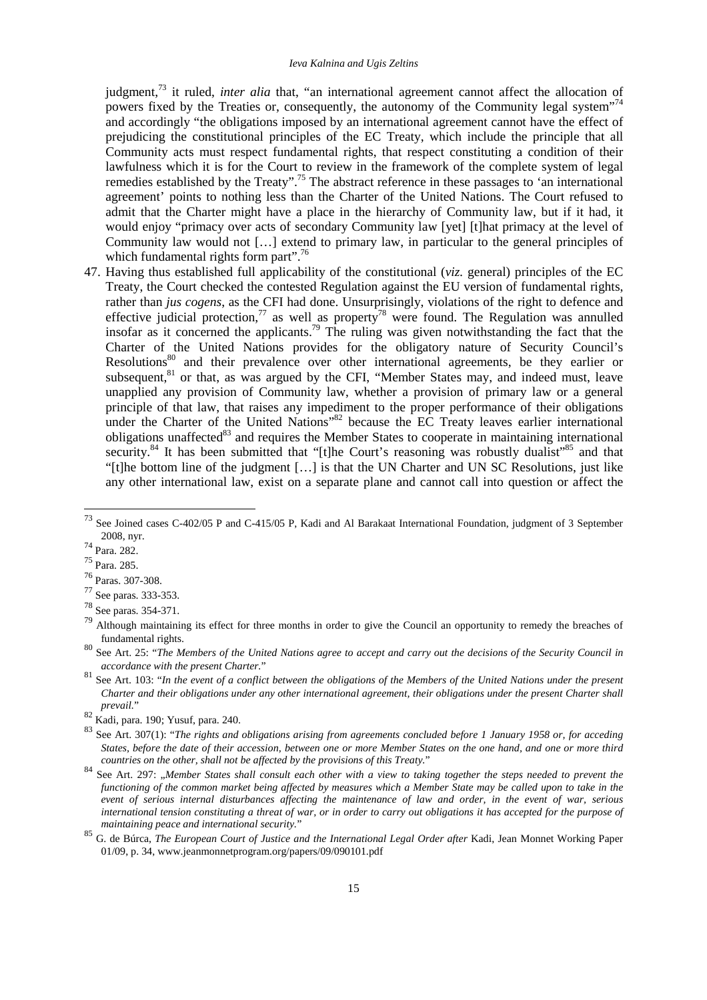judgment,<sup>73</sup> it ruled, *inter alia* that, "an international agreement cannot affect the allocation of powers fixed by the Treaties or, consequently, the autonomy of the Community legal system<sup>"74</sup> and accordingly "the obligations imposed by an international agreement cannot have the effect of prejudicing the constitutional principles of the EC Treaty, which include the principle that all Community acts must respect fundamental rights, that respect constituting a condition of their lawfulness which it is for the Court to review in the framework of the complete system of legal remedies established by the Treaty".<sup>75</sup> The abstract reference in these passages to 'an international agreement' points to nothing less than the Charter of the United Nations. The Court refused to admit that the Charter might have a place in the hierarchy of Community law, but if it had, it would enjoy "primacy over acts of secondary Community law [yet] [t]hat primacy at the level of Community law would not […] extend to primary law, in particular to the general principles of which fundamental rights form part".<sup>76</sup>

47. Having thus established full applicability of the constitutional (*viz.* general) principles of the EC Treaty, the Court checked the contested Regulation against the EU version of fundamental rights, rather than *jus cogens*, as the CFI had done. Unsurprisingly, violations of the right to defence and effective judicial protection,<sup>77</sup> as well as property<sup>78</sup> were found. The Regulation was annulled insofar as it concerned the applicants.<sup>79</sup> The ruling was given notwithstanding the fact that the Charter of the United Nations provides for the obligatory nature of Security Council's Resolutions<sup>80</sup> and their prevalence over other international agreements, be they earlier or subsequent, $81$  or that, as was argued by the CFI, "Member States may, and indeed must, leave unapplied any provision of Community law, whether a provision of primary law or a general principle of that law, that raises any impediment to the proper performance of their obligations under the Charter of the United Nations<sup>382</sup> because the EC Treaty leaves earlier international obligations unaffected<sup>83</sup> and requires the Member States to cooperate in maintaining international security.<sup>84</sup> It has been submitted that "[t]he Court's reasoning was robustly dualist"<sup>85</sup> and that "[t]he bottom line of the judgment […] is that the UN Charter and UN SC Resolutions, just like any other international law, exist on a separate plane and cannot call into question or affect the

<sup>73</sup> See Joined cases C-402/05 P and C-415/05 P, Kadi and Al Barakaat International Foundation, judgment of 3 September 2008, nyr.

<sup>74</sup> Para. 282.

<sup>75</sup> Para. 285.

<sup>76</sup> Paras. 307-308.

<sup>77</sup> See paras. 333-353.

<sup>78</sup> See paras. 354-371.

<sup>&</sup>lt;sup>79</sup> Although maintaining its effect for three months in order to give the Council an opportunity to remedy the breaches of fundamental rights.

<sup>80</sup> See Art. 25: "*The Members of the United Nations agree to accept and carry out the decisions of the Security Council in accordance with the present Charter.*"

<sup>81</sup> See Art. 103: "*In the event of a conflict between the obligations of the Members of the United Nations under the present Charter and their obligations under any other international agreement, their obligations under the present Charter shall prevail.*"

<sup>82</sup> Kadi, para. 190; Yusuf, para. 240.

<sup>83</sup> See Art. 307(1): "*The rights and obligations arising from agreements concluded before 1 January 1958 or, for acceding States, before the date of their accession, between one or more Member States on the one hand, and one or more third countries on the other, shall not be affected by the provisions of this Treaty.*"

<sup>84</sup> See Art. 297: *"Member States shall consult each other with a view to taking together the steps needed to prevent the functioning of the common market being affected by measures which a Member State may be called upon to take in the event of serious internal disturbances affecting the maintenance of law and order, in the event of war, serious international tension constituting a threat of war, or in order to carry out obligations it has accepted for the purpose of maintaining peace and international security.*"

<sup>85</sup> G. de Búrca, *The European Court of Justice and the International Legal Order after* Kadi, Jean Monnet Working Paper 01/09, p. 34, www.jeanmonnetprogram.org/papers/09/090101.pdf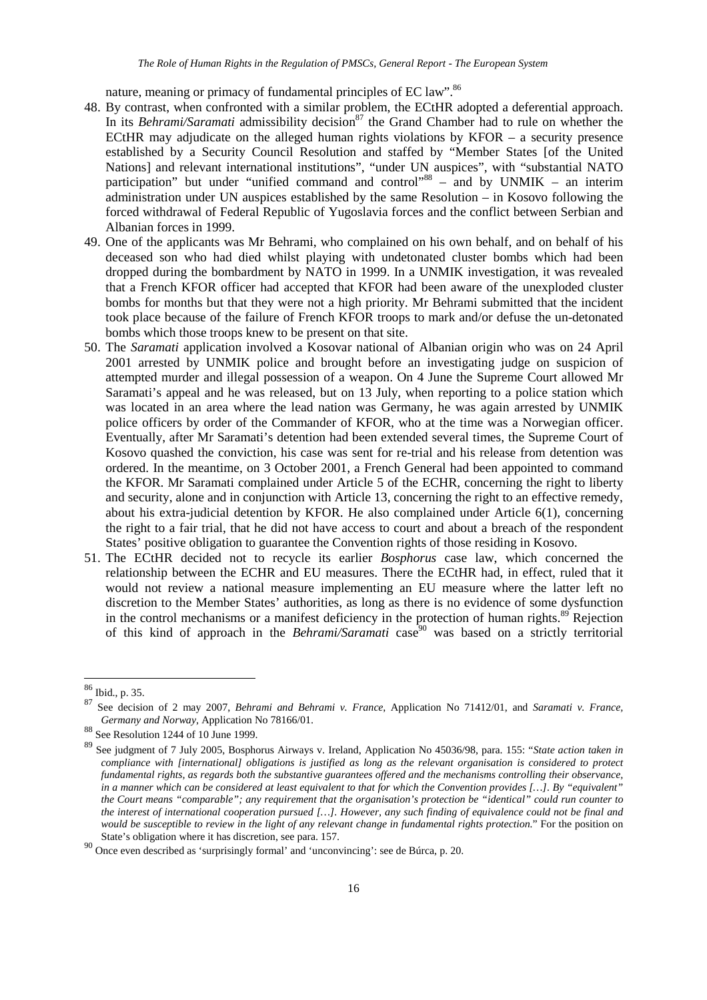nature, meaning or primacy of fundamental principles of EC law".<sup>86</sup>

- 48. By contrast, when confronted with a similar problem, the ECtHR adopted a deferential approach. In its *Behrami/Saramati* admissibility decision<sup>87</sup> the Grand Chamber had to rule on whether the ECtHR may adjudicate on the alleged human rights violations by KFOR – a security presence established by a Security Council Resolution and staffed by "Member States [of the United Nations] and relevant international institutions", "under UN auspices", with "substantial NATO participation" but under "unified command and control"<sup>88</sup> – and by UNMIK – an interim administration under UN auspices established by the same Resolution – in Kosovo following the forced withdrawal of Federal Republic of Yugoslavia forces and the conflict between Serbian and Albanian forces in 1999.
- 49. One of the applicants was Mr Behrami, who complained on his own behalf, and on behalf of his deceased son who had died whilst playing with undetonated cluster bombs which had been dropped during the bombardment by NATO in 1999. In a UNMIK investigation, it was revealed that a French KFOR officer had accepted that KFOR had been aware of the unexploded cluster bombs for months but that they were not a high priority. Mr Behrami submitted that the incident took place because of the failure of French KFOR troops to mark and/or defuse the un-detonated bombs which those troops knew to be present on that site.
- 50. The *Saramati* application involved a Kosovar national of Albanian origin who was on 24 April 2001 arrested by UNMIK police and brought before an investigating judge on suspicion of attempted murder and illegal possession of a weapon. On 4 June the Supreme Court allowed Mr Saramati's appeal and he was released, but on 13 July, when reporting to a police station which was located in an area where the lead nation was Germany, he was again arrested by UNMIK police officers by order of the Commander of KFOR, who at the time was a Norwegian officer. Eventually, after Mr Saramati's detention had been extended several times, the Supreme Court of Kosovo quashed the conviction, his case was sent for re-trial and his release from detention was ordered. In the meantime, on 3 October 2001, a French General had been appointed to command the KFOR. Mr Saramati complained under Article 5 of the ECHR, concerning the right to liberty and security, alone and in conjunction with Article 13, concerning the right to an effective remedy, about his extra-judicial detention by KFOR. He also complained under Article 6(1), concerning the right to a fair trial, that he did not have access to court and about a breach of the respondent States' positive obligation to guarantee the Convention rights of those residing in Kosovo.
- 51. The ECtHR decided not to recycle its earlier *Bosphorus* case law, which concerned the relationship between the ECHR and EU measures. There the ECtHR had, in effect, ruled that it would not review a national measure implementing an EU measure where the latter left no discretion to the Member States' authorities, as long as there is no evidence of some dysfunction in the control mechanisms or a manifest deficiency in the protection of human rights. $89^{\circ}$  Rejection of this kind of approach in the *Behrami/Saramati* case<sup>90</sup> was based on a strictly territorial

<sup>86</sup> Ibid., p. 35.

<sup>87</sup> See decision of 2 may 2007, *Behrami and Behrami v. France*, Application No 71412/01, and *Saramati v. France, Germany and Norway*, Application No 78166/01.

 $^{88}$  See Resolution 1244 of 10 June 1999.

<sup>89</sup> See judgment of 7 July 2005, Bosphorus Airways v. Ireland, Application No 45036/98, para. 155: "*State action taken in compliance with [international] obligations is justified as long as the relevant organisation is considered to protect fundamental rights, as regards both the substantive guarantees offered and the mechanisms controlling their observance, in a manner which can be considered at least equivalent to that for which the Convention provides […]. By "equivalent" the Court means "comparable"; any requirement that the organisation's protection be "identical" could run counter to the interest of international cooperation pursued […]. However, any such finding of equivalence could not be final and would be susceptible to review in the light of any relevant change in fundamental rights protection.*" For the position on State's obligation where it has discretion, see para. 157.

<sup>90</sup> Once even described as 'surprisingly formal' and 'unconvincing': see de Búrca, p. 20.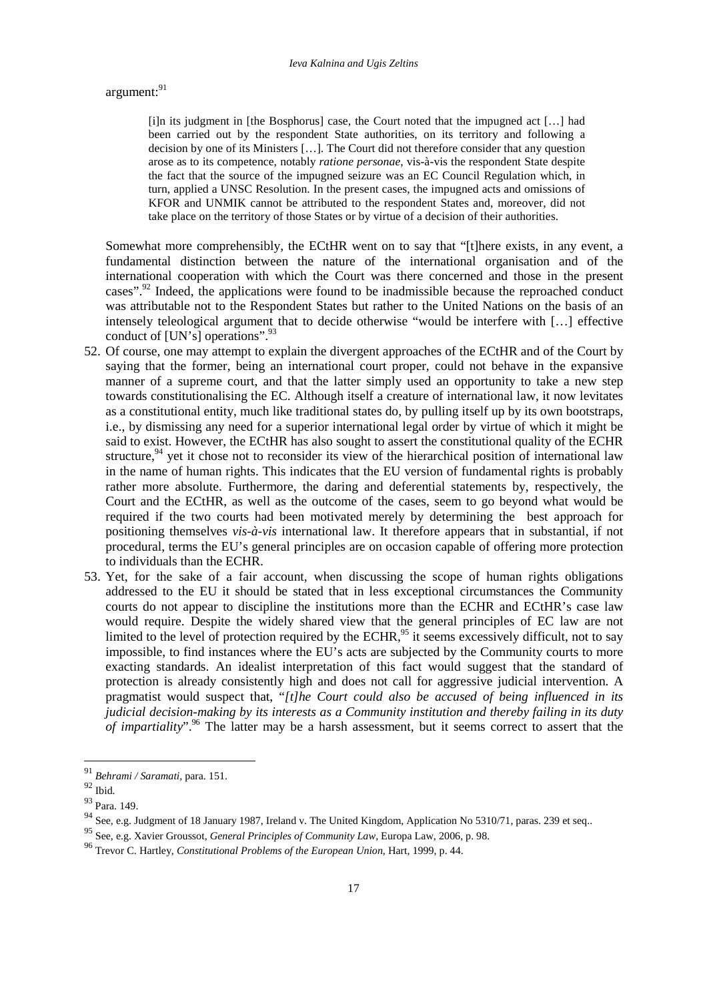# argument:<sup>91</sup>

[i]n its judgment in [the Bosphorus] case, the Court noted that the impugned act […] had been carried out by the respondent State authorities, on its territory and following a decision by one of its Ministers […]. The Court did not therefore consider that any question arose as to its competence, notably *ratione personae*, vis-à-vis the respondent State despite the fact that the source of the impugned seizure was an EC Council Regulation which, in turn, applied a UNSC Resolution. In the present cases, the impugned acts and omissions of KFOR and UNMIK cannot be attributed to the respondent States and, moreover, did not take place on the territory of those States or by virtue of a decision of their authorities.

Somewhat more comprehensibly, the ECtHR went on to say that "[t]here exists, in any event, a fundamental distinction between the nature of the international organisation and of the international cooperation with which the Court was there concerned and those in the present cases".<sup>92</sup> Indeed, the applications were found to be inadmissible because the reproached conduct was attributable not to the Respondent States but rather to the United Nations on the basis of an intensely teleological argument that to decide otherwise "would be interfere with […] effective conduct of  $[UN's]$  operations".  $93$ 

- 52. Of course, one may attempt to explain the divergent approaches of the ECtHR and of the Court by saying that the former, being an international court proper, could not behave in the expansive manner of a supreme court, and that the latter simply used an opportunity to take a new step towards constitutionalising the EC. Although itself a creature of international law, it now levitates as a constitutional entity, much like traditional states do, by pulling itself up by its own bootstraps, i.e., by dismissing any need for a superior international legal order by virtue of which it might be said to exist. However, the ECtHR has also sought to assert the constitutional quality of the ECHR structure,  $94$  yet it chose not to reconsider its view of the hierarchical position of international law in the name of human rights. This indicates that the EU version of fundamental rights is probably rather more absolute. Furthermore, the daring and deferential statements by, respectively, the Court and the ECtHR, as well as the outcome of the cases, seem to go beyond what would be required if the two courts had been motivated merely by determining the best approach for positioning themselves *vis-à-vis* international law. It therefore appears that in substantial, if not procedural, terms the EU's general principles are on occasion capable of offering more protection to individuals than the ECHR.
- 53. Yet, for the sake of a fair account, when discussing the scope of human rights obligations addressed to the EU it should be stated that in less exceptional circumstances the Community courts do not appear to discipline the institutions more than the ECHR and ECtHR's case law would require. Despite the widely shared view that the general principles of EC law are not limited to the level of protection required by the ECHR,<sup>95</sup> it seems excessively difficult, not to say impossible, to find instances where the EU's acts are subjected by the Community courts to more exacting standards. An idealist interpretation of this fact would suggest that the standard of protection is already consistently high and does not call for aggressive judicial intervention. A pragmatist would suspect that, "*[t]he Court could also be accused of being influenced in its judicial decision-making by its interests as a Community institution and thereby failing in its duty of impartiality*".<sup>96</sup> The latter may be a harsh assessment, but it seems correct to assert that the

<sup>91</sup> *Behrami / Saramati*, para. 151.

<sup>92</sup> Ibid.

<sup>93</sup> Para. 149.

<sup>94</sup> See, e.g. Judgment of 18 January 1987, Ireland v. The United Kingdom, Application No 5310/71, paras. 239 et seq..

<sup>95</sup> See, e.g. Xavier Groussot, *General Principles of Community Law*, Europa Law, 2006, p. 98.

<sup>96</sup> Trevor C. Hartley, *Constitutional Problems of the European Union*, Hart, 1999, p. 44.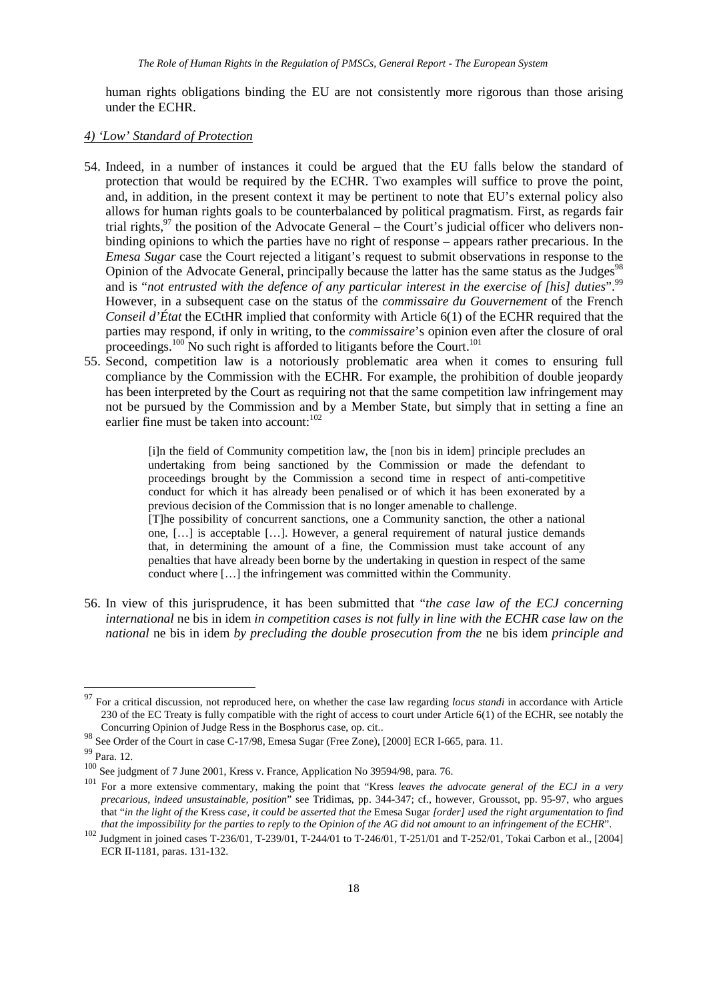human rights obligations binding the EU are not consistently more rigorous than those arising under the ECHR.

# *4) 'Low' Standard of Protection*

- 54. Indeed, in a number of instances it could be argued that the EU falls below the standard of protection that would be required by the ECHR. Two examples will suffice to prove the point, and, in addition, in the present context it may be pertinent to note that EU's external policy also allows for human rights goals to be counterbalanced by political pragmatism. First, as regards fair trial rights, $97$  the position of the Advocate General – the Court's judicial officer who delivers nonbinding opinions to which the parties have no right of response – appears rather precarious. In the *Emesa Sugar* case the Court rejected a litigant's request to submit observations in response to the Opinion of the Advocate General, principally because the latter has the same status as the Judges<sup>98</sup> and is "*not entrusted with the defence of any particular interest in the exercise of [his] duties*".<sup>99</sup> However, in a subsequent case on the status of the *commissaire du Gouvernement* of the French *Conseil d'État* the ECtHR implied that conformity with Article 6(1) of the ECHR required that the parties may respond, if only in writing, to the *commissaire*'s opinion even after the closure of oral proceedings.<sup>100</sup> No such right is afforded to litigants before the Court.<sup>101</sup>
- 55. Second, competition law is a notoriously problematic area when it comes to ensuring full compliance by the Commission with the ECHR. For example, the prohibition of double jeopardy has been interpreted by the Court as requiring not that the same competition law infringement may not be pursued by the Commission and by a Member State, but simply that in setting a fine an earlier fine must be taken into account:<sup>102</sup>

[i]n the field of Community competition law, the [non bis in idem] principle precludes an undertaking from being sanctioned by the Commission or made the defendant to proceedings brought by the Commission a second time in respect of anti-competitive conduct for which it has already been penalised or of which it has been exonerated by a previous decision of the Commission that is no longer amenable to challenge. [T]he possibility of concurrent sanctions, one a Community sanction, the other a national

one, […] is acceptable […]. However, a general requirement of natural justice demands that, in determining the amount of a fine, the Commission must take account of any penalties that have already been borne by the undertaking in question in respect of the same conduct where […] the infringement was committed within the Community.

56. In view of this jurisprudence, it has been submitted that "*the case law of the ECJ concerning international* ne bis in idem *in competition cases is not fully in line with the ECHR case law on the national* ne bis in idem *by precluding the double prosecution from the* ne bis idem *principle and* 

<sup>&</sup>lt;sup>97</sup> For a critical discussion, not reproduced here, on whether the case law regarding *locus standi* in accordance with Article 230 of the EC Treaty is fully compatible with the right of access to court under Article 6(1) of the ECHR, see notably the Concurring Opinion of Judge Ress in the Bosphorus case, op. cit..

<sup>98</sup> See Order of the Court in case C-17/98, Emesa Sugar (Free Zone), [2000] ECR I-665, para. 11.

<sup>99</sup> Para. 12.

<sup>100</sup> See judgment of 7 June 2001, Kress v. France, Application No 39594/98, para. 76.

<sup>101</sup> For a more extensive commentary, making the point that "Kress *leaves the advocate general of the ECJ in a very precarious, indeed unsustainable, position*" see Tridimas, pp. 344-347; cf., however, Groussot, pp. 95-97, who argues that "*in the light of the* Kress *case, it could be asserted that the* Emesa Sugar *[order] used the right argumentation to find that the impossibility for the parties to reply to the Opinion of the AG did not amount to an infringement of the ECHR*".

<sup>102</sup> Judgment in joined cases T-236/01, T-239/01, T-244/01 to T-246/01, T-251/01 and T-252/01, Tokai Carbon et al., [2004] ECR II-1181, paras. 131-132.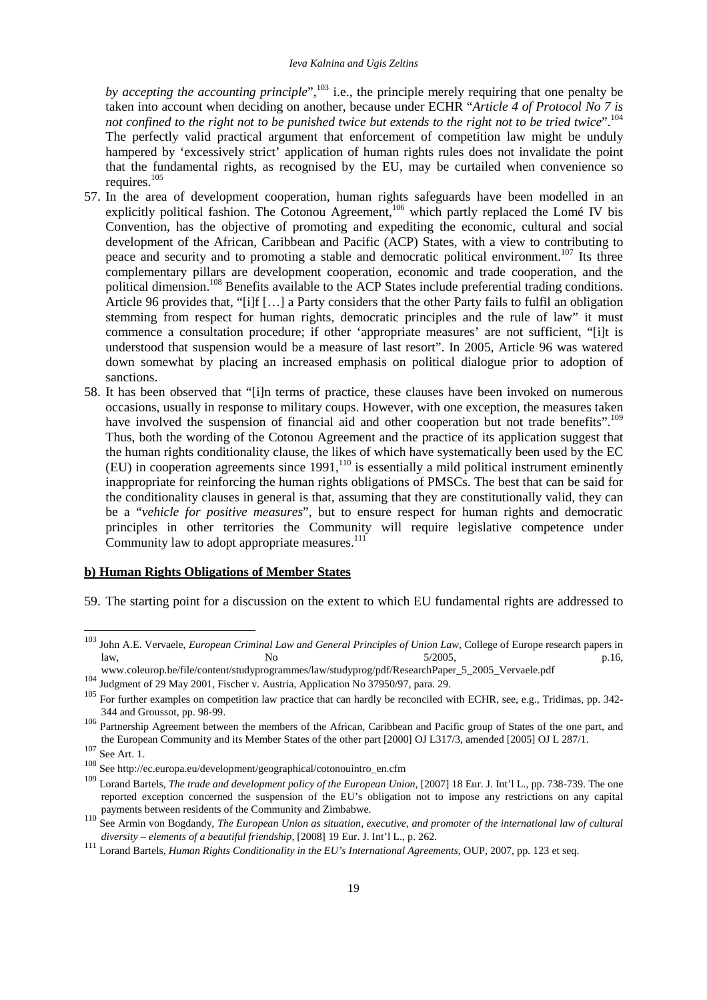*by accepting the accounting principle*",<sup>103</sup> i.e., the principle merely requiring that one penalty be taken into account when deciding on another, because under ECHR "*Article 4 of Protocol No 7 is not confined to the right not to be punished twice but extends to the right not to be tried twice*".<sup>104</sup> The perfectly valid practical argument that enforcement of competition law might be unduly hampered by 'excessively strict' application of human rights rules does not invalidate the point that the fundamental rights, as recognised by the EU, may be curtailed when convenience so requires.<sup>105</sup>

- 57. In the area of development cooperation, human rights safeguards have been modelled in an explicitly political fashion. The Cotonou Agreement,  $106$  which partly replaced the Lomé IV bis Convention, has the objective of promoting and expediting the economic, cultural and social development of the African, Caribbean and Pacific (ACP) States, with a view to contributing to peace and security and to promoting a stable and democratic political environment.<sup>107</sup> Its three complementary pillars are development cooperation, economic and trade cooperation, and the political dimension.<sup>108</sup> Benefits available to the ACP States include preferential trading conditions. Article 96 provides that, "[i]f […] a Party considers that the other Party fails to fulfil an obligation stemming from respect for human rights, democratic principles and the rule of law" it must commence a consultation procedure; if other 'appropriate measures' are not sufficient, "[i]t is understood that suspension would be a measure of last resort". In 2005, Article 96 was watered down somewhat by placing an increased emphasis on political dialogue prior to adoption of sanctions.
- 58. It has been observed that "[i]n terms of practice, these clauses have been invoked on numerous occasions, usually in response to military coups. However, with one exception, the measures taken have involved the suspension of financial aid and other cooperation but not trade benefits".<sup>109</sup> Thus, both the wording of the Cotonou Agreement and the practice of its application suggest that the human rights conditionality clause, the likes of which have systematically been used by the EC (EU) in cooperation agreements since 1991,<sup>110</sup> is essentially a mild political instrument eminently inappropriate for reinforcing the human rights obligations of PMSCs. The best that can be said for the conditionality clauses in general is that, assuming that they are constitutionally valid, they can be a "*vehicle for positive measures*", but to ensure respect for human rights and democratic principles in other territories the Community will require legislative competence under Community law to adopt appropriate measures.<sup>111</sup>

### **b) Human Rights Obligations of Member States**

59. The starting point for a discussion on the extent to which EU fundamental rights are addressed to

<sup>103</sup> John A.E. Vervaele, *European Criminal Law and General Principles of Union Law*, College of Europe research papers in law, 1.16, 1.16, 1.16, 1.16, 1.16, 1.16, 1.16, 1.16, 1.16, 1.16, 1.16, 1.16, 1.16, 1.16, 1.16, 1.16, 1.16, 1.1

www.coleurop.be/file/content/studyprogrammes/law/studyprog/pdf/ResearchPaper\_5\_2005\_Vervaele.pdf

<sup>&</sup>lt;sup>104</sup> Judgment of 29 May 2001, Fischer v. Austria, Application No 37950/97, para. 29.

<sup>&</sup>lt;sup>105</sup> For further examples on competition law practice that can hardly be reconciled with ECHR, see, e.g., Tridimas, pp. 342-344 and Groussot, pp. 98-99.

<sup>106</sup> Partnership Agreement between the members of the African, Caribbean and Pacific group of States of the one part, and the European Community and its Member States of the other part [2000] OJ L317/3, amended [2005] OJ L 287/1.

 $107$  See Art. 1.

<sup>108</sup> See http://ec.europa.eu/development/geographical/cotonouintro\_en.cfm

<sup>109</sup> Lorand Bartels, *The trade and development policy of the European Union*, [2007] 18 Eur. J. Int'l L., pp. 738-739. The one reported exception concerned the suspension of the EU's obligation not to impose any restrictions on any capital payments between residents of the Community and Zimbabwe.

<sup>110</sup> See Armin von Bogdandy, *The European Union as situation, executive, and promoter of the international law of cultural diversity – elements of a beautiful friendship*, [2008] 19 Eur. J. Int'l L., p. 262.

<sup>111</sup> Lorand Bartels, *Human Rights Conditionality in the EU's International Agreements*, OUP, 2007, pp. 123 et seq.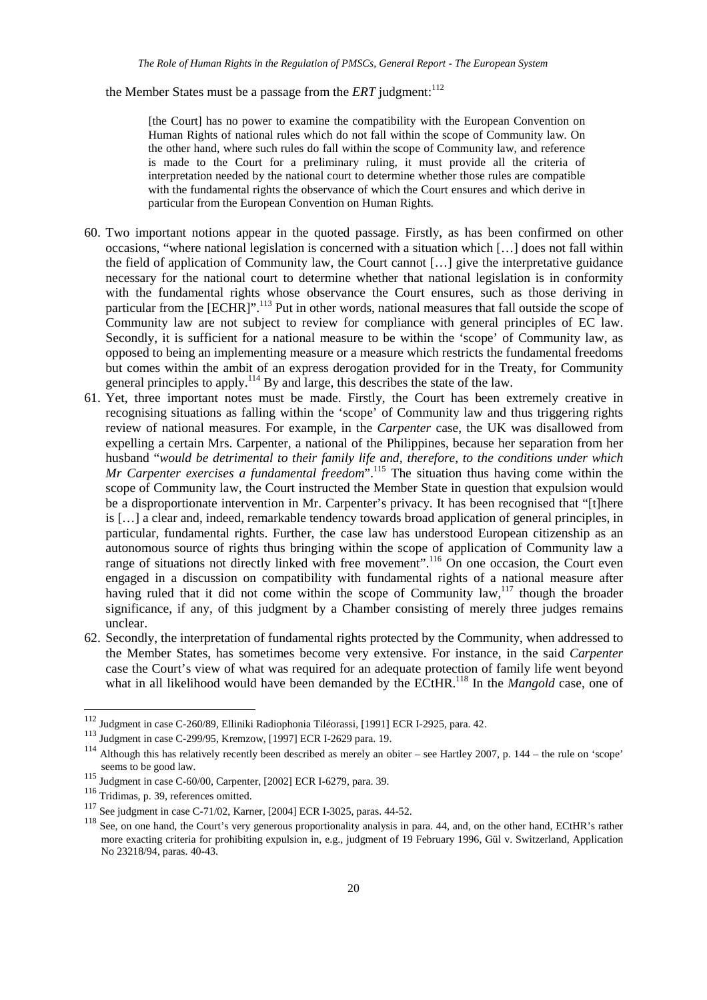the Member States must be a passage from the *ERT* judgment:<sup>112</sup>

[the Court] has no power to examine the compatibility with the European Convention on Human Rights of national rules which do not fall within the scope of Community law. On the other hand, where such rules do fall within the scope of Community law, and reference is made to the Court for a preliminary ruling, it must provide all the criteria of interpretation needed by the national court to determine whether those rules are compatible with the fundamental rights the observance of which the Court ensures and which derive in particular from the European Convention on Human Rights*.* 

- 60. Two important notions appear in the quoted passage. Firstly, as has been confirmed on other occasions, "where national legislation is concerned with a situation which […] does not fall within the field of application of Community law, the Court cannot […] give the interpretative guidance necessary for the national court to determine whether that national legislation is in conformity with the fundamental rights whose observance the Court ensures, such as those deriving in particular from the [ECHR]".<sup>113</sup> Put in other words, national measures that fall outside the scope of Community law are not subject to review for compliance with general principles of EC law. Secondly, it is sufficient for a national measure to be within the 'scope' of Community law, as opposed to being an implementing measure or a measure which restricts the fundamental freedoms but comes within the ambit of an express derogation provided for in the Treaty, for Community general principles to apply.<sup>114</sup> By and large, this describes the state of the law.
- 61. Yet, three important notes must be made. Firstly, the Court has been extremely creative in recognising situations as falling within the 'scope' of Community law and thus triggering rights review of national measures. For example, in the *Carpenter* case, the UK was disallowed from expelling a certain Mrs. Carpenter, a national of the Philippines, because her separation from her husband "*would be detrimental to their family life and, therefore, to the conditions under which Mr Carpenter exercises a fundamental freedom*".<sup>115</sup> The situation thus having come within the scope of Community law, the Court instructed the Member State in question that expulsion would be a disproportionate intervention in Mr. Carpenter's privacy. It has been recognised that "[t]here is […] a clear and, indeed, remarkable tendency towards broad application of general principles, in particular, fundamental rights. Further, the case law has understood European citizenship as an autonomous source of rights thus bringing within the scope of application of Community law a range of situations not directly linked with free movement".<sup>116</sup> On one occasion, the Court even engaged in a discussion on compatibility with fundamental rights of a national measure after having ruled that it did not come within the scope of Community law, $117$  though the broader significance, if any, of this judgment by a Chamber consisting of merely three judges remains unclear.
- 62. Secondly, the interpretation of fundamental rights protected by the Community, when addressed to the Member States, has sometimes become very extensive. For instance, in the said *Carpenter* case the Court's view of what was required for an adequate protection of family life went beyond what in all likelihood would have been demanded by the ECtHR.<sup>118</sup> In the *Mangold* case, one of

<sup>112</sup> Judgment in case C-260/89, Elliniki Radiophonia Tiléorassi, [1991] ECR I-2925, para. 42.

<sup>113</sup> Judgment in case C-299/95, Kremzow, [1997] ECR I-2629 para. 19.

<sup>&</sup>lt;sup>114</sup> Although this has relatively recently been described as merely an obiter – see Hartley 2007, p. 144 – the rule on 'scope' seems to be good law.

<sup>115</sup> Judgment in case C-60/00, Carpenter, [2002] ECR I-6279, para. 39.

<sup>116</sup> Tridimas, p. 39, references omitted.

<sup>117</sup> See judgment in case C-71/02, Karner, [2004] ECR I-3025, paras. 44-52.

<sup>&</sup>lt;sup>118</sup> See, on one hand, the Court's very generous proportionality analysis in para. 44, and, on the other hand, ECtHR's rather more exacting criteria for prohibiting expulsion in, e.g., judgment of 19 February 1996, Gül v. Switzerland, Application No 23218/94, paras. 40-43.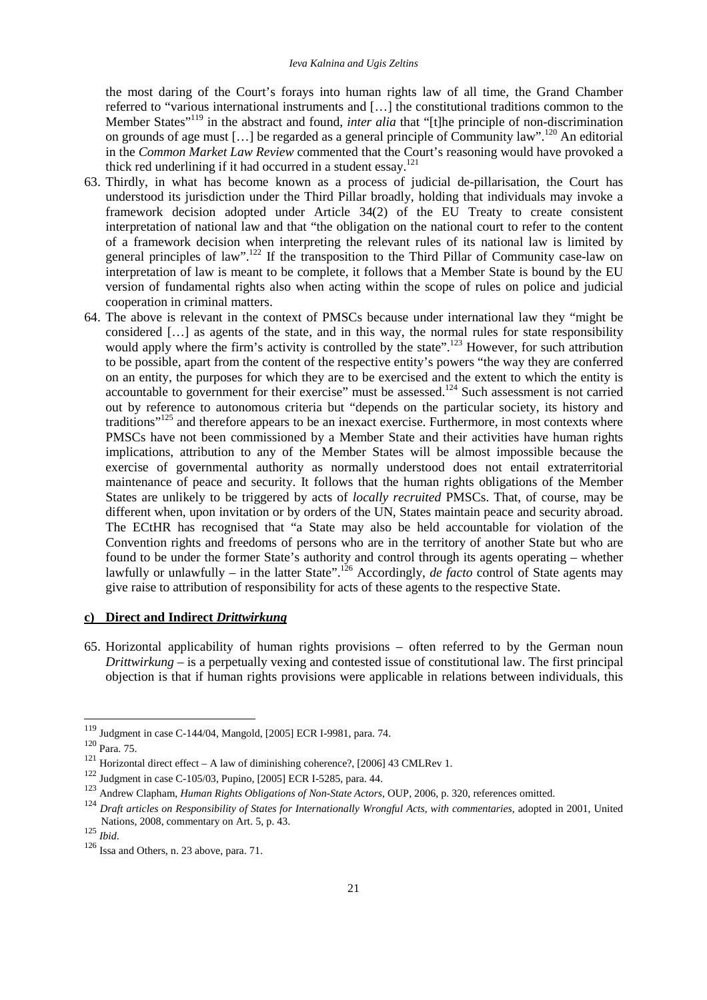the most daring of the Court's forays into human rights law of all time, the Grand Chamber referred to "various international instruments and […] the constitutional traditions common to the Member States"<sup>119</sup> in the abstract and found, *inter alia* that "[t]he principle of non-discrimination on grounds of age must […] be regarded as a general principle of Community law".<sup>120</sup> An editorial in the *Common Market Law Review* commented that the Court's reasoning would have provoked a thick red underlining if it had occurred in a student essay.<sup>121</sup>

- 63. Thirdly, in what has become known as a process of judicial de-pillarisation, the Court has understood its jurisdiction under the Third Pillar broadly, holding that individuals may invoke a framework decision adopted under Article 34(2) of the EU Treaty to create consistent interpretation of national law and that "the obligation on the national court to refer to the content of a framework decision when interpreting the relevant rules of its national law is limited by general principles of law".<sup>122</sup> If the transposition to the Third Pillar of Community case-law on interpretation of law is meant to be complete, it follows that a Member State is bound by the EU version of fundamental rights also when acting within the scope of rules on police and judicial cooperation in criminal matters.
- 64. The above is relevant in the context of PMSCs because under international law they "might be considered […] as agents of the state, and in this way, the normal rules for state responsibility would apply where the firm's activity is controlled by the state".<sup>123</sup> However, for such attribution to be possible, apart from the content of the respective entity's powers "the way they are conferred on an entity, the purposes for which they are to be exercised and the extent to which the entity is accountable to government for their exercise" must be assessed.<sup>124</sup> Such assessment is not carried out by reference to autonomous criteria but "depends on the particular society, its history and traditions"<sup>125</sup> and therefore appears to be an inexact exercise. Furthermore, in most contexts where PMSCs have not been commissioned by a Member State and their activities have human rights implications, attribution to any of the Member States will be almost impossible because the exercise of governmental authority as normally understood does not entail extraterritorial maintenance of peace and security. It follows that the human rights obligations of the Member States are unlikely to be triggered by acts of *locally recruited* PMSCs. That, of course, may be different when, upon invitation or by orders of the UN, States maintain peace and security abroad. The ECtHR has recognised that "a State may also be held accountable for violation of the Convention rights and freedoms of persons who are in the territory of another State but who are found to be under the former State's authority and control through its agents operating – whether lawfully or unlawfully – in the latter State".<sup>126</sup> Accordingly, *de facto* control of State agents may give raise to attribution of responsibility for acts of these agents to the respective State.

# **c) Direct and Indirect** *Drittwirkung*

65. Horizontal applicability of human rights provisions – often referred to by the German noun *Drittwirkung* – is a perpetually vexing and contested issue of constitutional law. The first principal objection is that if human rights provisions were applicable in relations between individuals, this

 $119$  Judgment in case C-144/04, Mangold, [2005] ECR I-9981, para. 74.

<sup>120</sup> Para. 75.

<sup>121</sup> Horizontal direct effect – A law of diminishing coherence?, [2006] 43 CMLRev 1.

<sup>122</sup> Judgment in case C-105/03, Pupino, [2005] ECR I-5285, para. 44.

<sup>123</sup> Andrew Clapham, *Human Rights Obligations of Non-State Actors*, OUP, 2006, p. 320, references omitted.

<sup>124</sup> *Draft articles on Responsibility of States for Internationally Wrongful Acts, with commentaries*, adopted in 2001, United Nations, 2008, commentary on Art. 5, p. 43.

<sup>125</sup> *Ibid*.

<sup>126</sup> Issa and Others, n. 23 above, para. 71.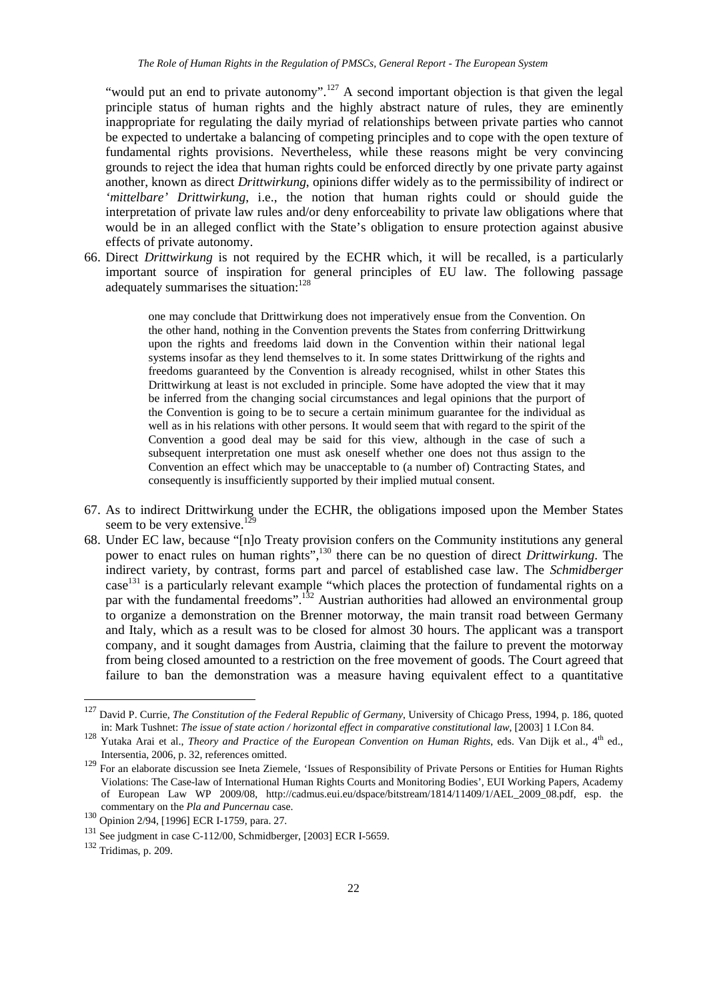"would put an end to private autonomy".<sup>127</sup> A second important objection is that given the legal principle status of human rights and the highly abstract nature of rules, they are eminently inappropriate for regulating the daily myriad of relationships between private parties who cannot be expected to undertake a balancing of competing principles and to cope with the open texture of fundamental rights provisions. Nevertheless, while these reasons might be very convincing grounds to reject the idea that human rights could be enforced directly by one private party against another, known as direct *Drittwirkung*, opinions differ widely as to the permissibility of indirect or *'mittelbare' Drittwirkung*, i.e., the notion that human rights could or should guide the interpretation of private law rules and/or deny enforceability to private law obligations where that would be in an alleged conflict with the State's obligation to ensure protection against abusive effects of private autonomy.

66. Direct *Drittwirkung* is not required by the ECHR which, it will be recalled, is a particularly important source of inspiration for general principles of EU law. The following passage adequately summarises the situation:<sup>128</sup>

> one may conclude that Drittwirkung does not imperatively ensue from the Convention. On the other hand, nothing in the Convention prevents the States from conferring Drittwirkung upon the rights and freedoms laid down in the Convention within their national legal systems insofar as they lend themselves to it. In some states Drittwirkung of the rights and freedoms guaranteed by the Convention is already recognised, whilst in other States this Drittwirkung at least is not excluded in principle. Some have adopted the view that it may be inferred from the changing social circumstances and legal opinions that the purport of the Convention is going to be to secure a certain minimum guarantee for the individual as well as in his relations with other persons. It would seem that with regard to the spirit of the Convention a good deal may be said for this view, although in the case of such a subsequent interpretation one must ask oneself whether one does not thus assign to the Convention an effect which may be unacceptable to (a number of) Contracting States, and consequently is insufficiently supported by their implied mutual consent.

- 67. As to indirect Drittwirkung under the ECHR, the obligations imposed upon the Member States seem to be very extensive.<sup>129</sup>
- 68. Under EC law, because "[n]o Treaty provision confers on the Community institutions any general power to enact rules on human rights",<sup>130</sup> there can be no question of direct *Drittwirkung*. The indirect variety, by contrast, forms part and parcel of established case law. The *Schmidberger* case<sup>131</sup> is a particularly relevant example "which places the protection of fundamental rights on a par with the fundamental freedoms".<sup>132</sup> Austrian authorities had allowed an environmental group to organize a demonstration on the Brenner motorway, the main transit road between Germany and Italy, which as a result was to be closed for almost 30 hours. The applicant was a transport company, and it sought damages from Austria, claiming that the failure to prevent the motorway from being closed amounted to a restriction on the free movement of goods. The Court agreed that failure to ban the demonstration was a measure having equivalent effect to a quantitative

<sup>127</sup> David P. Currie, *The Constitution of the Federal Republic of Germany*, University of Chicago Press, 1994, p. 186, quoted in: Mark Tushnet: *The issue of state action / horizontal effect in comparative constitutional law*, [2003] 1 I.Con 84.

<sup>128</sup> Yutaka Arai et al., *The issue of state actions increasing given as example and transmit fights*, eds. Van Dijk et al., 4<sup>th</sup> ed., Intersentia, 2006, p. 32, references omitted.

<sup>&</sup>lt;sup>129</sup> For an elaborate discussion see Ineta Ziemele, 'Issues of Responsibility of Private Persons or Entities for Human Rights Violations: The Case-law of International Human Rights Courts and Monitoring Bodies', EUI Working Papers, Academy of European Law WP 2009/08, http://cadmus.eui.eu/dspace/bitstream/1814/11409/1/AEL\_2009\_08.pdf, esp. the commentary on the *Pla and Puncernau* case.

<sup>130</sup> Opinion 2/94, [1996] ECR I-1759, para. 27.

<sup>131</sup> See judgment in case C-112/00, Schmidberger, [2003] ECR I-5659.

<sup>132</sup> Tridimas, p. 209.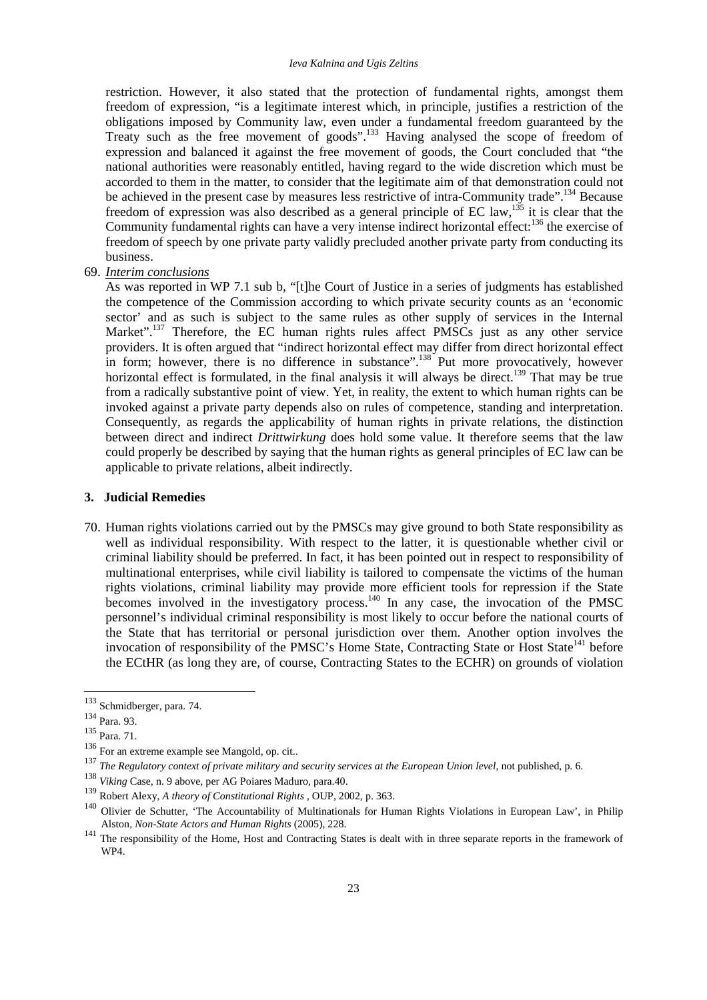restriction. However, it also stated that the protection of fundamental rights, amongst them freedom of expression, "is a legitimate interest which, in principle, justifies a restriction of the obligations imposed by Community law, even under a fundamental freedom guaranteed by the Treaty such as the free movement of goods".<sup>133</sup> Having analysed the scope of freedom of expression and balanced it against the free movement of goods, the Court concluded that "the national authorities were reasonably entitled, having regard to the wide discretion which must be accorded to them in the matter, to consider that the legitimate aim of that demonstration could not be achieved in the present case by measures less restrictive of intra-Community trade".<sup>134</sup> Because freedom of expression was also described as a general principle of EC law,<sup>135</sup> it is clear that the Community fundamental rights can have a very intense indirect horizontal effect:<sup>136</sup> the exercise of freedom of speech by one private party validly precluded another private party from conducting its business.

69. *Interim conclusions*

As was reported in WP 7.1 sub b, "[t]he Court of Justice in a series of judgments has established the competence of the Commission according to which private security counts as an 'economic sector' and as such is subject to the same rules as other supply of services in the Internal Market".<sup>137</sup> Therefore, the EC human rights rules affect PMSCs just as any other service providers. It is often argued that "indirect horizontal effect may differ from direct horizontal effect in form; however, there is no difference in substance".<sup>138</sup> Put more provocatively, however horizontal effect is formulated, in the final analysis it will always be direct.<sup>139</sup> That may be true from a radically substantive point of view. Yet, in reality, the extent to which human rights can be invoked against a private party depends also on rules of competence, standing and interpretation. Consequently, as regards the applicability of human rights in private relations, the distinction between direct and indirect *Drittwirkung* does hold some value. It therefore seems that the law could properly be described by saying that the human rights as general principles of EC law can be applicable to private relations, albeit indirectly.

# **3. Judicial Remedies**

70. Human rights violations carried out by the PMSCs may give ground to both State responsibility as well as individual responsibility. With respect to the latter, it is questionable whether civil or criminal liability should be preferred. In fact, it has been pointed out in respect to responsibility of multinational enterprises, while civil liability is tailored to compensate the victims of the human rights violations, criminal liability may provide more efficient tools for repression if the State becomes involved in the investigatory process.<sup>140</sup> In any case, the invocation of the PMSC personnel's individual criminal responsibility is most likely to occur before the national courts of the State that has territorial or personal jurisdiction over them. Another option involves the invocation of responsibility of the PMSC's Home State, Contracting State or Host State<sup>141</sup> before the ECtHR (as long they are, of course, Contracting States to the ECHR) on grounds of violation

l

<sup>&</sup>lt;sup>133</sup> Schmidberger, para. 74.

<sup>134</sup> Para. 93.

<sup>135</sup> Para. 71.

<sup>136</sup> For an extreme example see Mangold, op. cit..

<sup>137</sup> *The Regulatory context of private military and security services at the European Union level*, not published, p. 6.

<sup>138</sup> *Viking* Case, n. 9 above, per AG Poiares Maduro, para.40.

<sup>139</sup> Robert Alexy, *A theory of Constitutional Rights* , OUP, 2002, p. 363.

<sup>&</sup>lt;sup>140</sup> Olivier de Schutter, 'The Accountability of Multinationals for Human Rights Violations in European Law', in Philip Alston, *Non-State Actors and Human Rights* (2005), 228.

<sup>141</sup> The responsibility of the Home, Host and Contracting States is dealt with in three separate reports in the framework of WP4.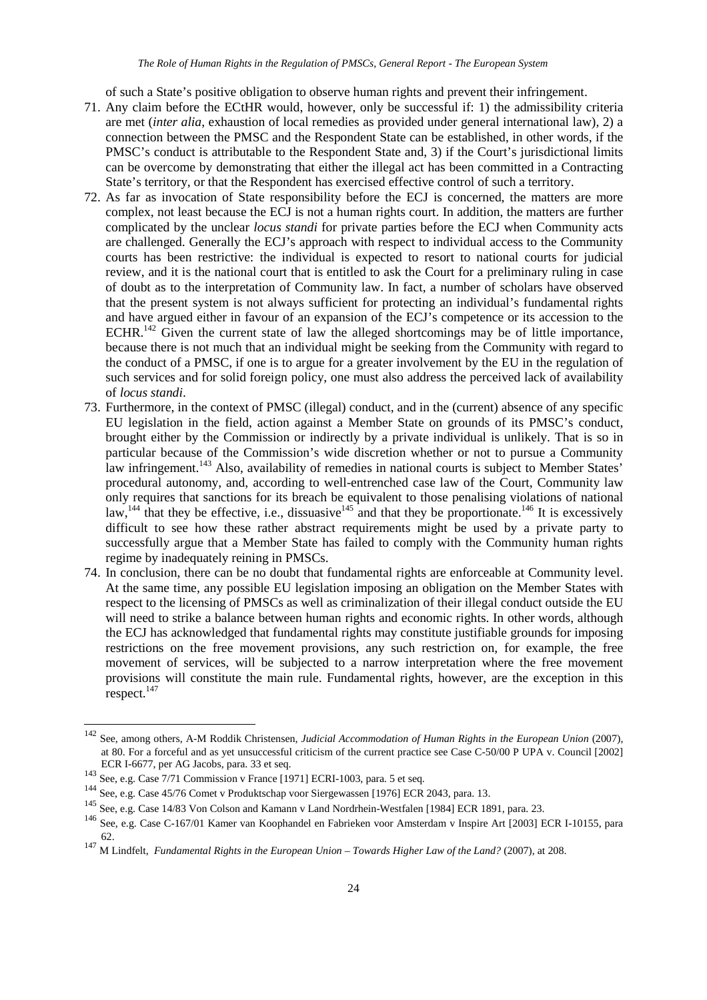of such a State's positive obligation to observe human rights and prevent their infringement.

- 71. Any claim before the ECtHR would, however, only be successful if: 1) the admissibility criteria are met (*inter alia*, exhaustion of local remedies as provided under general international law), 2) a connection between the PMSC and the Respondent State can be established, in other words, if the PMSC's conduct is attributable to the Respondent State and, 3) if the Court's jurisdictional limits can be overcome by demonstrating that either the illegal act has been committed in a Contracting State's territory, or that the Respondent has exercised effective control of such a territory.
- 72. As far as invocation of State responsibility before the ECJ is concerned, the matters are more complex, not least because the ECJ is not a human rights court. In addition, the matters are further complicated by the unclear *locus standi* for private parties before the ECJ when Community acts are challenged. Generally the ECJ's approach with respect to individual access to the Community courts has been restrictive: the individual is expected to resort to national courts for judicial review, and it is the national court that is entitled to ask the Court for a preliminary ruling in case of doubt as to the interpretation of Community law. In fact, a number of scholars have observed that the present system is not always sufficient for protecting an individual's fundamental rights and have argued either in favour of an expansion of the ECJ's competence or its accession to the ECHR.<sup>142</sup> Given the current state of law the alleged shortcomings may be of little importance, because there is not much that an individual might be seeking from the Community with regard to the conduct of a PMSC, if one is to argue for a greater involvement by the EU in the regulation of such services and for solid foreign policy, one must also address the perceived lack of availability of *locus standi*.
- 73. Furthermore, in the context of PMSC (illegal) conduct, and in the (current) absence of any specific EU legislation in the field, action against a Member State on grounds of its PMSC's conduct, brought either by the Commission or indirectly by a private individual is unlikely. That is so in particular because of the Commission's wide discretion whether or not to pursue a Community law infringement.<sup>143</sup> Also, availability of remedies in national courts is subject to Member States' procedural autonomy, and, according to well-entrenched case law of the Court, Community law only requires that sanctions for its breach be equivalent to those penalising violations of national law,<sup>144</sup> that they be effective, i.e., dissuasive<sup>145</sup> and that they be proportionate.<sup>146</sup> It is excessively difficult to see how these rather abstract requirements might be used by a private party to successfully argue that a Member State has failed to comply with the Community human rights regime by inadequately reining in PMSCs.
- 74. In conclusion, there can be no doubt that fundamental rights are enforceable at Community level. At the same time, any possible EU legislation imposing an obligation on the Member States with respect to the licensing of PMSCs as well as criminalization of their illegal conduct outside the EU will need to strike a balance between human rights and economic rights. In other words, although the ECJ has acknowledged that fundamental rights may constitute justifiable grounds for imposing restrictions on the free movement provisions, any such restriction on, for example, the free movement of services, will be subjected to a narrow interpretation where the free movement provisions will constitute the main rule. Fundamental rights, however, are the exception in this respect.<sup>147</sup>

<sup>142</sup> See, among others, A-M Roddik Christensen, *Judicial Accommodation of Human Rights in the European Union* (2007), at 80. For a forceful and as yet unsuccessful criticism of the current practice see Case C-50/00 P UPA v. Council [2002] ECR I-6677, per AG Jacobs, para. 33 et seq.

<sup>143</sup> See, e.g. Case 7/71 Commission v France [1971] ECRI-1003, para. 5 et seq.

<sup>144</sup> See, e.g. Case 45/76 Comet v Produktschap voor Siergewassen [1976] ECR 2043, para. 13.

<sup>145</sup> See, e.g. Case 14/83 Von Colson and Kamann v Land Nordrhein-Westfalen [1984] ECR 1891, para. 23.

<sup>146</sup> See, e.g. Case C-167/01 Kamer van Koophandel en Fabrieken voor Amsterdam v Inspire Art [2003] ECR I-10155, para 62.

<sup>147</sup> M Lindfelt, *Fundamental Rights in the European Union – Towards Higher Law of the Land?* (2007), at 208.